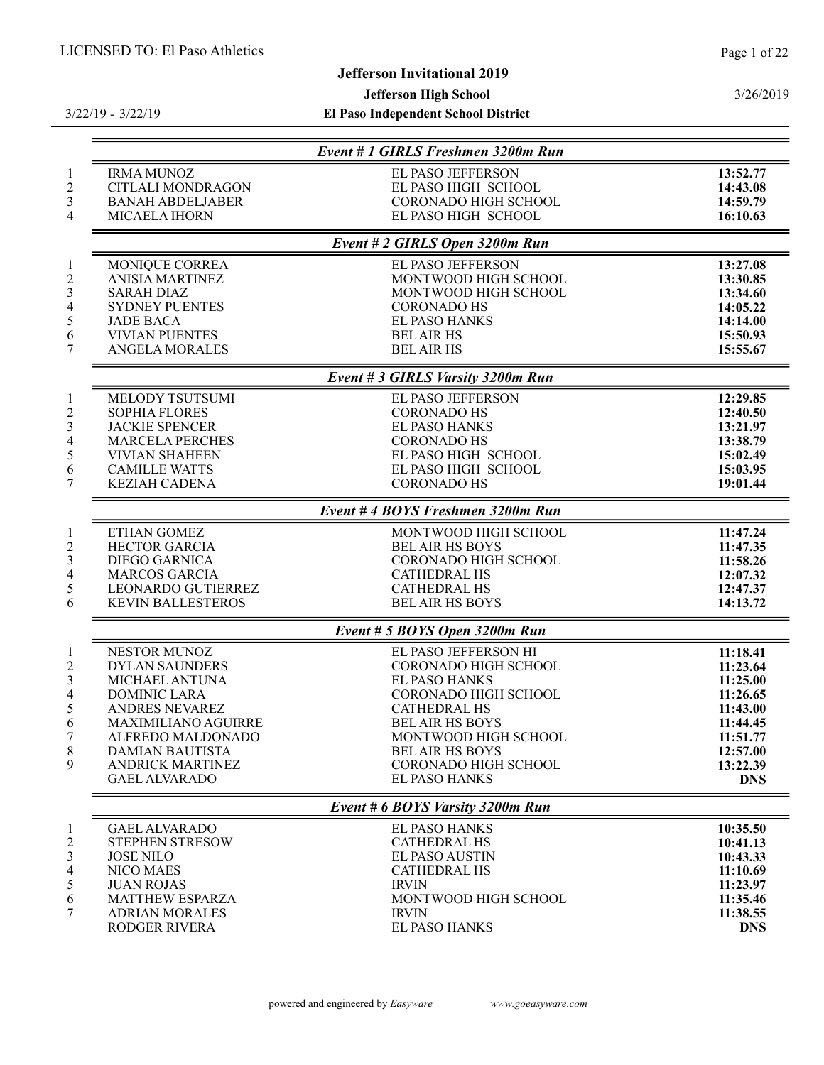# Jefferson Invitational 2019

# Jefferson High School

3/22/19 - 3/22/19

|                                                                                                                                                                                                                           | Event # 1 GIRLS Freshmen 3200m Run                                                                                                                                                                                                                     |                                                                                                                        |
|---------------------------------------------------------------------------------------------------------------------------------------------------------------------------------------------------------------------------|--------------------------------------------------------------------------------------------------------------------------------------------------------------------------------------------------------------------------------------------------------|------------------------------------------------------------------------------------------------------------------------|
| <b>IRMA MUNOZ</b><br><b>CITLALI MONDRAGON</b><br><b>BANAH ABDELJABER</b><br>MICAELA IHORN                                                                                                                                 | <b>EL PASO JEFFERSON</b><br>EL PASO HIGH SCHOOL<br><b>CORONADO HIGH SCHOOL</b><br>EL PASO HIGH SCHOOL                                                                                                                                                  | 13:52.77<br>14:43.08<br>14:59.79<br>16:10.63                                                                           |
|                                                                                                                                                                                                                           | Event # 2 GIRLS Open 3200m Run                                                                                                                                                                                                                         |                                                                                                                        |
| MONIQUE CORREA<br><b>ANISIA MARTINEZ</b><br><b>SARAH DIAZ</b><br><b>SYDNEY PUENTES</b><br><b>JADE BACA</b><br><b>VIVIAN PUENTES</b><br><b>ANGELA MORALES</b>                                                              | EL PASO JEFFERSON<br>MONTWOOD HIGH SCHOOL<br>MONTWOOD HIGH SCHOOL<br><b>CORONADO HS</b><br><b>EL PASO HANKS</b><br><b>BEL AIR HS</b><br><b>BEL AIR HS</b>                                                                                              | 13:27.08<br>13:30.85<br>13:34.60<br>14:05.22<br>14:14.00<br>15:50.93<br>15:55.67                                       |
|                                                                                                                                                                                                                           |                                                                                                                                                                                                                                                        |                                                                                                                        |
| MELODY TSUTSUMI<br><b>SOPHIA FLORES</b><br><b>JACKIE SPENCER</b><br><b>MARCELA PERCHES</b><br><b>VIVIAN SHAHEEN</b><br><b>CAMILLE WATTS</b><br><b>KEZIAH CADENA</b>                                                       | EL PASO JEFFERSON<br><b>CORONADO HS</b><br><b>EL PASO HANKS</b><br><b>CORONADO HS</b><br>EL PASO HIGH SCHOOL<br>EL PASO HIGH SCHOOL<br><b>CORONADO HS</b>                                                                                              | 12:29.85<br>12:40.50<br>13:21.97<br>13:38.79<br>15:02.49<br>15:03.95<br>19:01.44                                       |
|                                                                                                                                                                                                                           |                                                                                                                                                                                                                                                        |                                                                                                                        |
| <b>ETHAN GOMEZ</b><br><b>HECTOR GARCIA</b><br><b>DIEGO GARNICA</b><br><b>MARCOS GARCIA</b><br>LEONARDO GUTIERREZ<br><b>KEVIN BALLESTEROS</b>                                                                              | MONTWOOD HIGH SCHOOL<br><b>BEL AIR HS BOYS</b><br>CORONADO HIGH SCHOOL<br><b>CATHEDRAL HS</b><br><b>CATHEDRAL HS</b><br><b>BEL AIR HS BOYS</b>                                                                                                         | 11:47.24<br>11:47.35<br>11:58.26<br>12:07.32<br>12:47.37<br>14:13.72                                                   |
|                                                                                                                                                                                                                           | Event # 5 BOYS Open 3200m Run                                                                                                                                                                                                                          |                                                                                                                        |
| NESTOR MUNOZ<br><b>DYLAN SAUNDERS</b><br>MICHAEL ANTUNA<br><b>DOMINIC LARA</b><br>ANDRES NEVAREZ<br><b>MAXIMILIANO AGUIRRE</b><br>ALFREDO MALDONADO<br><b>DAMIAN BAUTISTA</b><br>ANDRICK MARTINEZ<br><b>GAEL ALVARADO</b> | EL PASO JEFFERSON HI<br><b>CORONADO HIGH SCHOOL</b><br><b>EL PASO HANKS</b><br>CORONADO HIGH SCHOOL<br><b>CATHEDRAL HS</b><br><b>BEL AIR HS BOYS</b><br>MONTWOOD HIGH SCHOOL<br><b>BEL AIR HS BOYS</b><br>CORONADO HIGH SCHOOL<br><b>EL PASO HANKS</b> | 11:18.41<br>11:23.64<br>11:25.00<br>11:26.65<br>11:43.00<br>11:44.45<br>11:51.77<br>12:57.00<br>13:22.39<br><b>DNS</b> |
|                                                                                                                                                                                                                           | Event # 6 BOYS Varsity 3200m Run                                                                                                                                                                                                                       |                                                                                                                        |
| <b>GAEL ALVARADO</b><br>STEPHEN STRESOW<br><b>JOSE NILO</b><br><b>NICO MAES</b><br><b>JUAN ROJAS</b><br>MATTHEW ESPARZA<br><b>ADRIAN MORALES</b><br><b>RODGER RIVERA</b>                                                  | <b>EL PASO HANKS</b><br><b>CATHEDRAL HS</b><br><b>EL PASO AUSTIN</b><br><b>CATHEDRAL HS</b><br><b>IRVIN</b><br>MONTWOOD HIGH SCHOOL<br><b>IRVIN</b><br><b>EL PASO HANKS</b>                                                                            | 10:35.50<br>10:41.13<br>10:43.33<br>11:10.69<br>11:23.97<br>11:35.46<br>11:38.55<br><b>DNS</b>                         |
|                                                                                                                                                                                                                           |                                                                                                                                                                                                                                                        | Event # 3 GIRLS Varsity 3200m Run<br>Event #4 BOYS Freshmen 3200m Run                                                  |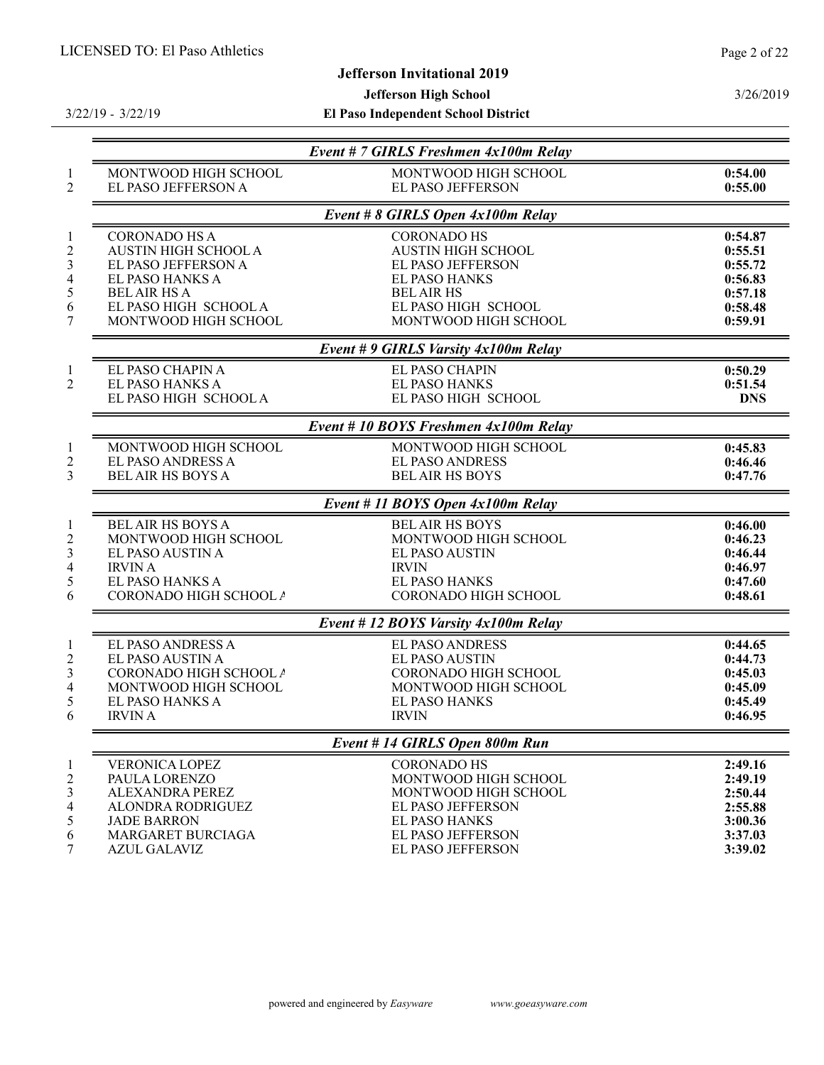# Jefferson Invitational 2019

# Jefferson High School

3/22/19 - 3/22/19

El Paso Independent School District

3/26/2019

|                                             | Event # 7 GIRLS Freshmen 4x100m Relay            |                    |
|---------------------------------------------|--------------------------------------------------|--------------------|
| MONTWOOD HIGH SCHOOL<br>EL PASO JEFFERSON A | MONTWOOD HIGH SCHOOL<br><b>EL PASO JEFFERSON</b> | 0:54.00<br>0:55.00 |
|                                             | Event # 8 GIRLS Open 4x100m Relay                |                    |
| <b>CORONADO HS A</b>                        | <b>CORONADO HS</b>                               | 0:54.87            |
| <b>AUSTIN HIGH SCHOOL A</b>                 | <b>AUSTIN HIGH SCHOOL</b>                        | 0:55.51            |
| EL PASO JEFFERSON A                         | <b>EL PASO JEFFERSON</b>                         | 0:55.72            |
| EL PASO HANKS A                             | <b>EL PASO HANKS</b>                             | 0:56.83            |
| <b>BEL AIR HS A</b>                         | <b>BEL AIR HS</b>                                | 0:57.18            |
| EL PASO HIGH SCHOOL A                       | EL PASO HIGH SCHOOL                              | 0:58.48            |
| MONTWOOD HIGH SCHOOL                        | MONTWOOD HIGH SCHOOL                             | 0:59.91            |
|                                             | Event # 9 GIRLS Varsity 4x100m Relay             |                    |
| EL PASO CHAPIN A                            | EL PASO CHAPIN                                   | 0:50.29            |
| EL PASO HANKS A                             | <b>EL PASO HANKS</b>                             | 0:51.54            |
| EL PASO HIGH SCHOOL A                       | EL PASO HIGH SCHOOL                              | <b>DNS</b>         |
|                                             | Event #10 BOYS Freshmen 4x100m Relay             |                    |
| MONTWOOD HIGH SCHOOL                        | MONTWOOD HIGH SCHOOL                             | 0:45.83            |
| EL PASO ANDRESS A                           | <b>EL PASO ANDRESS</b>                           | 0:46.46            |
| <b>BEL AIR HS BOYS A</b>                    | <b>BEL AIR HS BOYS</b>                           | 0:47.76            |
|                                             | Event # 11 BOYS Open 4x100m Relay                |                    |
| <b>BEL AIR HS BOYS A</b>                    | <b>BELAIR HS BOYS</b>                            | 0:46.00            |
| MONTWOOD HIGH SCHOOL                        | MONTWOOD HIGH SCHOOL                             | 0:46.23            |
| EL PASO AUSTIN A                            | EL PASO AUSTIN                                   | 0:46.44            |
| <b>IRVIN A</b>                              | <b>IRVIN</b>                                     | 0:46.97            |
| EL PASO HANKS A                             | <b>EL PASO HANKS</b>                             | 0:47.60            |
| CORONADO HIGH SCHOOL A                      | CORONADO HIGH SCHOOL                             | 0:48.61            |
|                                             | Event #12 BOYS Varsity 4x100m Relay              |                    |
| <b>EL PASO ANDRESS A</b>                    | <b>EL PASO ANDRESS</b>                           | 0:44.65            |
| EL PASO AUSTIN A                            | <b>EL PASO AUSTIN</b>                            | 0:44.73            |
| CORONADO HIGH SCHOOL A                      | <b>CORONADO HIGH SCHOOL</b>                      | 0:45.03            |
| MONTWOOD HIGH SCHOOL                        | MONTWOOD HIGH SCHOOL                             | 0:45.09            |
| EL PASO HANKS A                             | <b>EL PASO HANKS</b>                             | 0:45.49            |
| <b>IRVIN A</b>                              | <b>IRVIN</b>                                     | 0:46.95            |
|                                             | Event # 14 GIRLS Open 800m Run                   |                    |
| <b>VERONICA LOPEZ</b>                       | <b>CORONADO HS</b>                               | 2:49.16            |
| PAULA LORENZO                               | MONTWOOD HIGH SCHOOL                             | 2:49.19            |
| ALEXANDRA PEREZ                             | MONTWOOD HIGH SCHOOL                             | 2:50.44            |
| ALONDRA RODRIGUEZ                           | <b>EL PASO JEFFERSON</b>                         | 2:55.88            |
| <b>JADE BARRON</b>                          | <b>EL PASO HANKS</b>                             | 3:00.36            |
| MARGARET BURCIAGA                           | <b>EL PASO JEFFERSON</b>                         | 3:37.03            |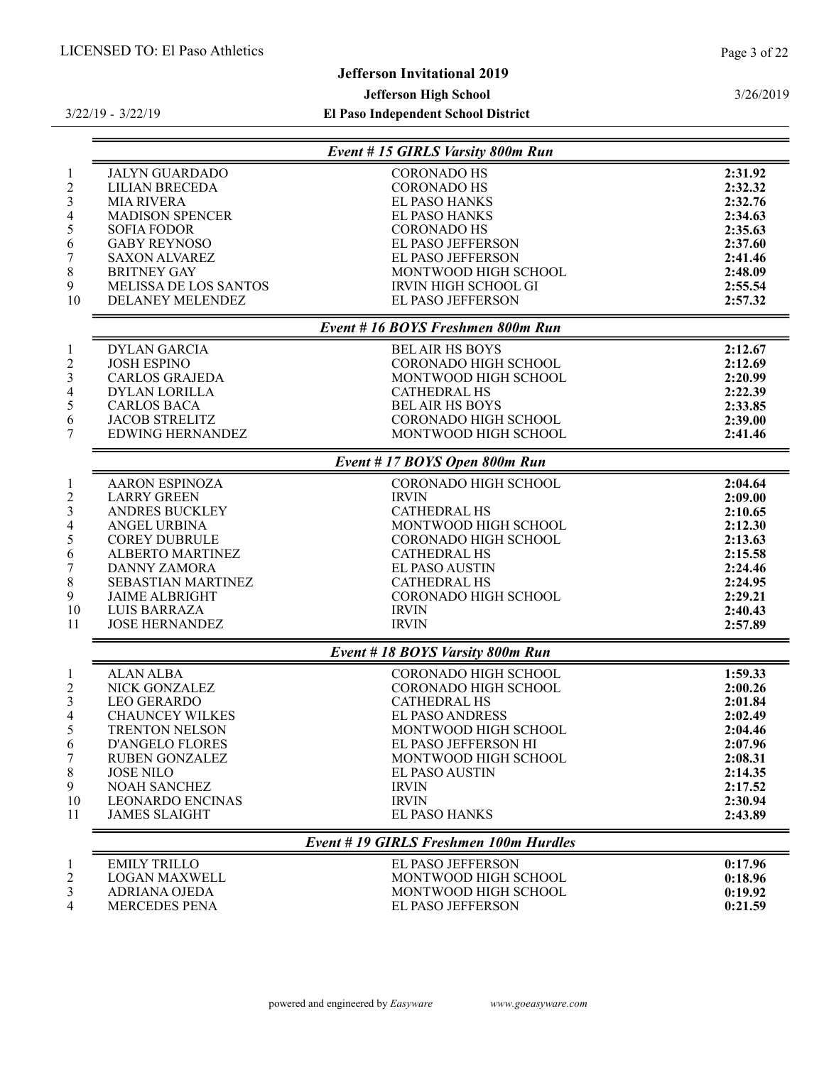3/26/2019

# Jefferson Invitational 2019

#### Jefferson High School

El Paso Independent School District

Event # 15 GIRLS Varsity 800m Run JALYN GUARDADO CORONADO HS 2:31.92 LILIAN BRECEDA CORONADO HS 2:32.32 MIA RIVERA EL PASO HANKS 2:32.76 MADISON SPENCER EL PASO HANKS 2:34.63 SOFIA FODOR CORONADO HS 2:35.63 GABY REYNOSO EL PASO JEFFERSON 2:37.60 SAXON ALVAREZ EL PASO JEFFERSON 2:41.46 BRITNEY GAY MONTWOOD HIGH SCHOOL 2:48.09 MELISSA DE LOS SANTOS IRVIN HIGH SCHOOL GI 2:55.54 **DELANEY MELENDEZ EL PASO JEFFERSON 2:57.32** Event # 16 BOYS Freshmen 800m Run DYLAN GARCIA BEL AIR HS BOYS 2:12.67 JOSH ESPINO CORONADO HIGH SCHOOL 2:12.69 CARLOS GRAJEDA MONTWOOD HIGH SCHOOL 2:20.99 4 DYLAN LORILLA CATHEDRAL HS 2:22.39<br>5 CARLOS BACA BEL AIR HS BOYS 2:33.85 CARLOS BACA BEL AIR HS BOYS 2:33.85 CORONADO HIGH SCHOOL EDWING HERNANDEZ MONTWOOD HIGH SCHOOL 2:41.46 Event # 17 BOYS Open 800m Run AARON ESPINOZA CORONADO HIGH SCHOOL 2:04.64 2 LARRY GREEN IRVIN ANDRES BUCKLEY CATHEDRAL HS 2:10.65 ANGEL URBINA MONTWOOD HIGH SCHOOL 2:12.30 CORONADO HIGH SCHOOL 2:13.63 ALBERTO MARTINEZ CATHEDRAL HS 2:15.58 DANNY ZAMORA EL PASO AUSTIN 2:24.46 SEBASTIAN MARTINEZ CATHEDRAL HS 2:24.95 9 JAIME ALBRIGHT CORONADO HIGH SCHOOL 2:29.21 LUIS BARRAZA IRVIN 2:40.43 11 JOSE HERNANDEZ IRVIN IRVIN 2:57.89 Event # 18 BOYS Varsity 800m Run ALAN ALBA CORONADO HIGH SCHOOL 1:59.33 NICK GONZALEZ CORONADO HIGH SCHOOL 2:00.26 LEO GERARDO CATHEDRAL HS 2:01.84 CHAUNCEY WILKES EL PASO ANDRESS 2:02.49 TRENTON NELSON MONTWOOD HIGH SCHOOL 2:04.46 D'ANGELO FLORES EL PASO JEFFERSON HI 2:07.96 RUBEN GONZALEZ MONTWOOD HIGH SCHOOL 2:08.31 JOSE NILO EL PASO AUSTIN 2:14.35 NOAH SANCHEZ IRVIN 2:17.52 LEONARDO ENCINAS IRVIN 2:30.94 JAMES SLAIGHT Event # 19 GIRLS Freshmen 100m Hurdles EMILY TRILLO EL PASO JEFFERSON 0:17.96 2 LOGAN MAXWELL MONTWOOD HIGH SCHOOL 0:18.96 ADRIANA OJEDA MONTWOOD HIGH SCHOOL 0:19.92 MERCEDES PENA EL PASO JEFFERSON 0:21.59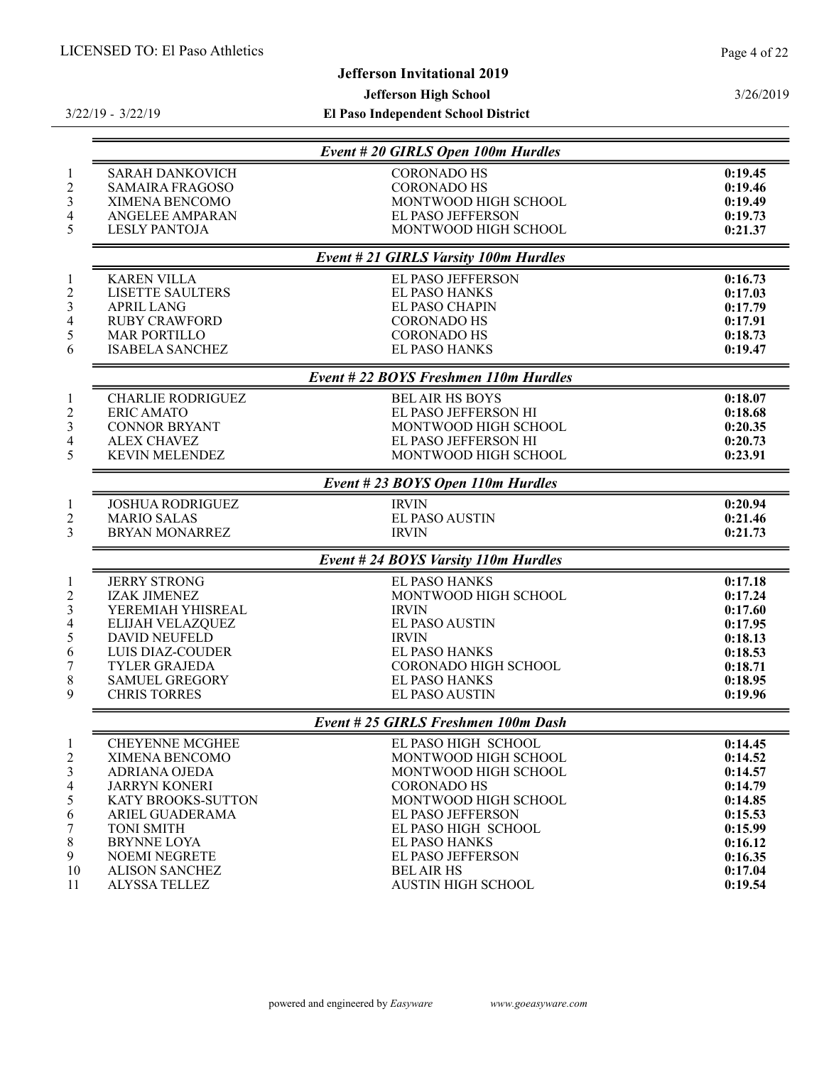# Jefferson Invitational 2019

Jefferson High School

3/22/19 - 3/22/19

|                                                                                                         |                                                                                                                                                                                                                                                       | Event # 20 GIRLS Open 100m Hurdles                                                                                                                                                                                                                                  |                                                                                                                       |
|---------------------------------------------------------------------------------------------------------|-------------------------------------------------------------------------------------------------------------------------------------------------------------------------------------------------------------------------------------------------------|---------------------------------------------------------------------------------------------------------------------------------------------------------------------------------------------------------------------------------------------------------------------|-----------------------------------------------------------------------------------------------------------------------|
| $\mathbf{1}$<br>$\overline{2}$<br>3<br>$\overline{4}$<br>5                                              | <b>SARAH DANKOVICH</b><br><b>SAMAIRA FRAGOSO</b><br>XIMENA BENCOMO<br><b>ANGELEE AMPARAN</b><br><b>LESLY PANTOJA</b>                                                                                                                                  | <b>CORONADO HS</b><br><b>CORONADO HS</b><br>MONTWOOD HIGH SCHOOL<br><b>EL PASO JEFFERSON</b><br>MONTWOOD HIGH SCHOOL                                                                                                                                                | 0:19.45<br>0:19.46<br>0:19.49<br>0:19.73<br>0:21.37                                                                   |
|                                                                                                         |                                                                                                                                                                                                                                                       | <b>Event #21 GIRLS Varsity 100m Hurdles</b>                                                                                                                                                                                                                         |                                                                                                                       |
| $\mathbf{1}$<br>$\overline{c}$<br>$\mathfrak{Z}$<br>$\overline{4}$<br>5<br>6                            | <b>KAREN VILLA</b><br><b>LISETTE SAULTERS</b><br><b>APRIL LANG</b><br><b>RUBY CRAWFORD</b><br><b>MAR PORTILLO</b><br><b>ISABELA SANCHEZ</b>                                                                                                           | EL PASO JEFFERSON<br><b>EL PASO HANKS</b><br><b>EL PASO CHAPIN</b><br><b>CORONADO HS</b><br><b>CORONADO HS</b><br><b>EL PASO HANKS</b>                                                                                                                              | 0:16.73<br>0:17.03<br>0:17.79<br>0:17.91<br>0:18.73<br>0:19.47                                                        |
|                                                                                                         |                                                                                                                                                                                                                                                       | Event # 22 BOYS Freshmen 110m Hurdles                                                                                                                                                                                                                               |                                                                                                                       |
| $\mathbf{1}$<br>$\overline{2}$<br>3<br>$\overline{\mathcal{A}}$<br>5                                    | <b>CHARLIE RODRIGUEZ</b><br><b>ERIC AMATO</b><br><b>CONNOR BRYANT</b><br><b>ALEX CHAVEZ</b><br><b>KEVIN MELENDEZ</b>                                                                                                                                  | <b>BELAIR HS BOYS</b><br>EL PASO JEFFERSON HI<br>MONTWOOD HIGH SCHOOL<br>EL PASO JEFFERSON HI<br>MONTWOOD HIGH SCHOOL                                                                                                                                               | 0:18.07<br>0:18.68<br>0:20.35<br>0:20.73<br>0:23.91                                                                   |
|                                                                                                         |                                                                                                                                                                                                                                                       | Event # 23 BOYS Open 110m Hurdles                                                                                                                                                                                                                                   |                                                                                                                       |
| $\mathbf{1}$<br>$\overline{c}$<br>3                                                                     | <b>JOSHUA RODRIGUEZ</b><br><b>MARIO SALAS</b><br><b>BRYAN MONARREZ</b>                                                                                                                                                                                | <b>IRVIN</b><br><b>EL PASO AUSTIN</b><br><b>IRVIN</b>                                                                                                                                                                                                               | 0:20.94<br>0:21.46<br>0:21.73                                                                                         |
|                                                                                                         |                                                                                                                                                                                                                                                       | Event # 24 BOYS Varsity 110m Hurdles                                                                                                                                                                                                                                |                                                                                                                       |
| $\mathbf{1}$<br>$\overline{c}$<br>3<br>$\overline{\mathcal{A}}$<br>5<br>6<br>$\boldsymbol{7}$<br>8<br>9 | <b>JERRY STRONG</b><br><b>IZAK JIMENEZ</b><br>YEREMIAH YHISREAL<br>ELIJAH VELAZQUEZ<br><b>DAVID NEUFELD</b><br><b>LUIS DIAZ-COUDER</b><br><b>TYLER GRAJEDA</b><br><b>SAMUEL GREGORY</b><br><b>CHRIS TORRES</b>                                        | <b>EL PASO HANKS</b><br>MONTWOOD HIGH SCHOOL<br><b>IRVIN</b><br><b>EL PASO AUSTIN</b><br><b>IRVIN</b><br><b>EL PASO HANKS</b><br>CORONADO HIGH SCHOOL<br><b>EL PASO HANKS</b><br><b>EL PASO AUSTIN</b>                                                              | 0:17.18<br>0:17.24<br>0:17.60<br>0:17.95<br>0:18.13<br>0:18.53<br>0:18.71<br>0:18.95<br>0:19.96                       |
|                                                                                                         |                                                                                                                                                                                                                                                       | Event # 25 GIRLS Freshmen 100m Dash                                                                                                                                                                                                                                 |                                                                                                                       |
| $\overline{c}$<br>3<br>$\overline{4}$<br>5<br>6<br>7<br>8<br>9<br>10<br>11                              | <b>CHEYENNE MCGHEE</b><br>XIMENA BENCOMO<br><b>ADRIANA OJEDA</b><br><b>JARRYN KONERI</b><br><b>KATY BROOKS-SUTTON</b><br>ARIEL GUADERAMA<br><b>TONI SMITH</b><br><b>BRYNNE LOYA</b><br><b>NOEMI NEGRETE</b><br><b>ALISON SANCHEZ</b><br>ALYSSA TELLEZ | EL PASO HIGH SCHOOL<br>MONTWOOD HIGH SCHOOL<br>MONTWOOD HIGH SCHOOL<br><b>CORONADO HS</b><br>MONTWOOD HIGH SCHOOL<br><b>EL PASO JEFFERSON</b><br>EL PASO HIGH SCHOOL<br><b>EL PASO HANKS</b><br>EL PASO JEFFERSON<br><b>BEL AIR HS</b><br><b>AUSTIN HIGH SCHOOL</b> | 0:14.45<br>0:14.52<br>0:14.57<br>0:14.79<br>0:14.85<br>0:15.53<br>0:15.99<br>0:16.12<br>0:16.35<br>0:17.04<br>0:19.54 |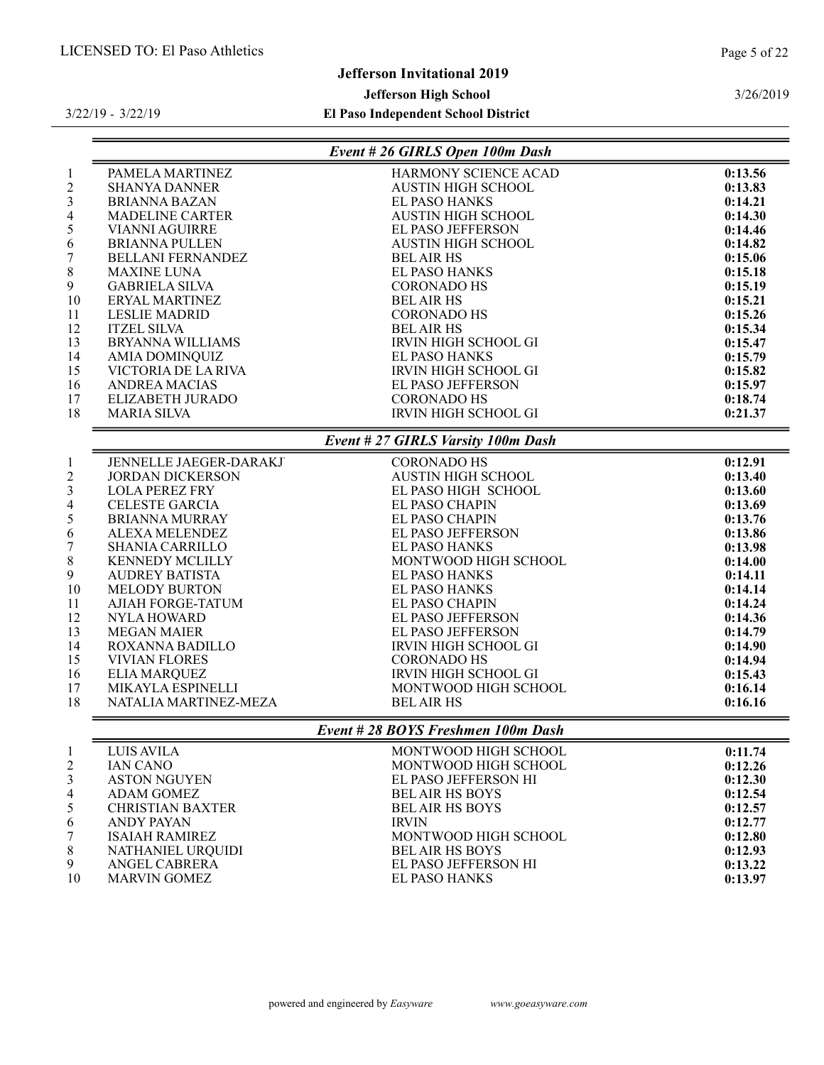# Jefferson Invitational 2019

# Jefferson High School

# El Paso Independent School District

3/22/19 - 3/22/19

|                          |                          | Event # 26 GIRLS Open 100m Dash    |         |
|--------------------------|--------------------------|------------------------------------|---------|
| $\mathbf{1}$             | PAMELA MARTINEZ          | HARMONY SCIENCE ACAD               | 0:13.56 |
| $\overline{c}$           | <b>SHANYA DANNER</b>     | <b>AUSTIN HIGH SCHOOL</b>          | 0:13.83 |
| 3                        | <b>BRIANNA BAZAN</b>     | <b>EL PASO HANKS</b>               | 0:14.21 |
| $\overline{\mathcal{A}}$ | <b>MADELINE CARTER</b>   | <b>AUSTIN HIGH SCHOOL</b>          | 0:14.30 |
| 5                        | <b>VIANNI AGUIRRE</b>    | EL PASO JEFFERSON                  | 0:14.46 |
| 6                        | <b>BRIANNA PULLEN</b>    | <b>AUSTIN HIGH SCHOOL</b>          | 0:14.82 |
| $\overline{7}$           | <b>BELLANI FERNANDEZ</b> | <b>BEL AIR HS</b>                  | 0:15.06 |
| 8                        | <b>MAXINE LUNA</b>       | <b>EL PASO HANKS</b>               | 0:15.18 |
| 9                        | <b>GABRIELA SILVA</b>    | <b>CORONADO HS</b>                 | 0:15.19 |
| 10                       | ERYAL MARTINEZ           | <b>BEL AIR HS</b>                  | 0:15.21 |
| 11                       | <b>LESLIE MADRID</b>     | <b>CORONADO HS</b>                 | 0:15.26 |
| 12                       | <b>ITZEL SILVA</b>       | <b>BEL AIR HS</b>                  | 0:15.34 |
| 13                       | <b>BRYANNA WILLIAMS</b>  | <b>IRVIN HIGH SCHOOL GI</b>        | 0:15.47 |
| 14                       | <b>AMIA DOMINQUIZ</b>    | <b>EL PASO HANKS</b>               | 0:15.79 |
| 15                       | VICTORIA DE LA RIVA      | <b>IRVIN HIGH SCHOOL GI</b>        | 0:15.82 |
| 16                       | <b>ANDREA MACIAS</b>     | EL PASO JEFFERSON                  | 0:15.97 |
| 17                       | ELIZABETH JURADO         | <b>CORONADO HS</b>                 | 0:18.74 |
| 18                       | <b>MARIA SILVA</b>       | <b>IRVIN HIGH SCHOOL GI</b>        | 0:21.37 |
|                          |                          | Event # 27 GIRLS Varsity 100m Dash |         |
| $\,1$                    | JENNELLE JAEGER-DARAKJ   | <b>CORONADO HS</b>                 | 0:12.91 |
| $\overline{c}$           | <b>JORDAN DICKERSON</b>  | <b>AUSTIN HIGH SCHOOL</b>          | 0:13.40 |
| 3                        | <b>LOLA PEREZ FRY</b>    | EL PASO HIGH SCHOOL                | 0:13.60 |
| 4                        | <b>CELESTE GARCIA</b>    | <b>EL PASO CHAPIN</b>              | 0:13.69 |
| 5                        | <b>BRIANNA MURRAY</b>    | <b>EL PASO CHAPIN</b>              | 0:13.76 |
| 6                        | ALEXA MELENDEZ           | EL PASO JEFFERSON                  | 0:13.86 |
| $\overline{7}$           | <b>SHANIA CARRILLO</b>   | <b>EL PASO HANKS</b>               | 0:13.98 |
| 8                        | <b>KENNEDY MCLILLY</b>   | MONTWOOD HIGH SCHOOL               | 0:14.00 |
| 9                        | <b>AUDREY BATISTA</b>    | <b>EL PASO HANKS</b>               | 0:14.11 |
| 10                       | <b>MELODY BURTON</b>     | <b>EL PASO HANKS</b>               | 0:14.14 |
| 11                       | AJIAH FORGE-TATUM        | EL PASO CHAPIN                     | 0:14.24 |
| 12                       | <b>NYLA HOWARD</b>       | EL PASO JEFFERSON                  | 0:14.36 |
| 13                       | <b>MEGAN MAIER</b>       | EL PASO JEFFERSON                  | 0:14.79 |
| 14                       | ROXANNA BADILLO          | <b>IRVIN HIGH SCHOOL GI</b>        | 0:14.90 |
| 15                       | <b>VIVIAN FLORES</b>     | <b>CORONADO HS</b>                 | 0:14.94 |
| 16                       | <b>ELIA MARQUEZ</b>      | <b>IRVIN HIGH SCHOOL GI</b>        | 0:15.43 |
| 17                       | MIKAYLA ESPINELLI        | MONTWOOD HIGH SCHOOL               | 0:16.14 |
| 18                       | NATALIA MARTINEZ-MEZA    | <b>BEL AIR HS</b>                  | 0:16.16 |
|                          |                          | Event #28 BOYS Freshmen 100m Dash  |         |
|                          | .                        |                                    |         |

|                | LUIS AVILA              | MONTWOOD HIGH SCHOOL   | 0:11.74 |
|----------------|-------------------------|------------------------|---------|
| 2              | <b>JAN CANO</b>         | MONTWOOD HIGH SCHOOL   | 0:12.26 |
| 3              | <b>ASTON NGUYEN</b>     | EL PASO JEFFERSON HI   | 0:12.30 |
| $\overline{4}$ | ADAM GOMEZ              | <b>BELAIR HS BOYS</b>  | 0:12.54 |
| 5              | <b>CHRISTIAN BAXTER</b> | <b>BELAIR HS BOYS</b>  | 0:12.57 |
| 6              | ANDY PAYAN              | <b>IRVIN</b>           | 0:12.77 |
| 7              | <b>ISAIAH RAMIREZ</b>   | MONTWOOD HIGH SCHOOL   | 0:12.80 |
| 8              | NATHANIEL URQUIDI       | <b>BEL AIR HS BOYS</b> | 0:12.93 |
| 9              | ANGEL CABRERA           | EL PASO JEFFERSON HI   | 0:13.22 |
| 10             | MARVIN GOMEZ            | EL PASO HANKS          | 0:13.97 |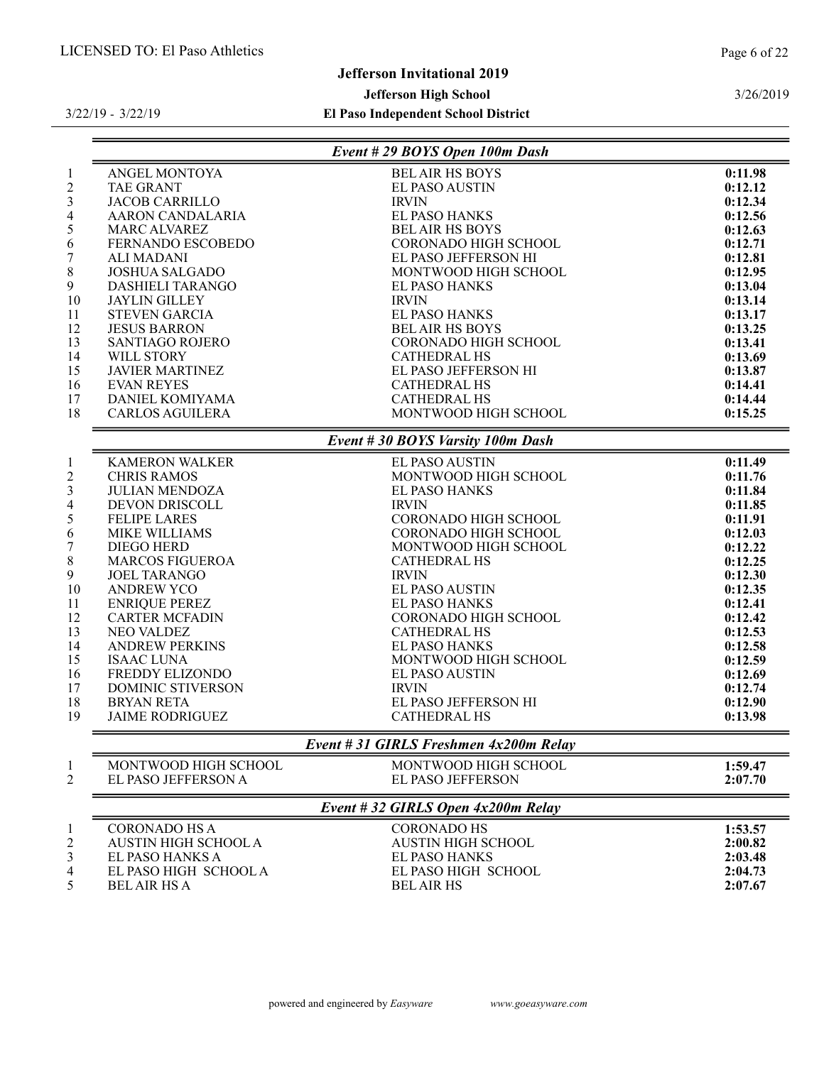# Jefferson Invitational 2019

# Jefferson High School

# El Paso Independent School District

3/26/2019

|                             | Event # 29 BOYS Open 100m Dash         |         |
|-----------------------------|----------------------------------------|---------|
| ANGEL MONTOYA               | <b>BEL AIR HS BOYS</b>                 | 0:11.98 |
| <b>TAE GRANT</b>            | <b>EL PASO AUSTIN</b>                  | 0:12.12 |
| <b>JACOB CARRILLO</b>       | <b>IRVIN</b>                           | 0:12.34 |
| AARON CANDALARIA            | <b>EL PASO HANKS</b>                   | 0:12.56 |
| <b>MARC ALVAREZ</b>         | <b>BEL AIR HS BOYS</b>                 | 0:12.63 |
| FERNANDO ESCOBEDO           | <b>CORONADO HIGH SCHOOL</b>            | 0:12.71 |
| ALI MADANI                  | EL PASO JEFFERSON HI                   | 0:12.81 |
| <b>JOSHUA SALGADO</b>       | MONTWOOD HIGH SCHOOL                   | 0:12.95 |
| DASHIELI TARANGO            | EL PASO HANKS                          | 0:13.04 |
| <b>JAYLIN GILLEY</b>        | <b>IRVIN</b>                           | 0:13.14 |
| <b>STEVEN GARCIA</b>        | <b>EL PASO HANKS</b>                   | 0:13.17 |
| <b>JESUS BARRON</b>         | <b>BEL AIR HS BOYS</b>                 | 0:13.25 |
| <b>SANTIAGO ROJERO</b>      | CORONADO HIGH SCHOOL                   | 0:13.41 |
| WILL STORY                  | <b>CATHEDRAL HS</b>                    | 0:13.69 |
| <b>JAVIER MARTINEZ</b>      | EL PASO JEFFERSON HI                   | 0:13.87 |
| <b>EVAN REYES</b>           | <b>CATHEDRAL HS</b>                    | 0:14.41 |
| DANIEL KOMIYAMA             | <b>CATHEDRAL HS</b>                    | 0:14.44 |
| <b>CARLOS AGUILERA</b>      | MONTWOOD HIGH SCHOOL                   | 0:15.25 |
|                             | Event # 30 BOYS Varsity 100m Dash      |         |
| <b>KAMERON WALKER</b>       | EL PASO AUSTIN                         | 0:11.49 |
| <b>CHRIS RAMOS</b>          | MONTWOOD HIGH SCHOOL                   | 0:11.76 |
| <b>JULIAN MENDOZA</b>       | EL PASO HANKS                          | 0:11.84 |
| <b>DEVON DRISCOLL</b>       | <b>IRVIN</b>                           | 0:11.85 |
| <b>FELIPE LARES</b>         | CORONADO HIGH SCHOOL                   | 0:11.91 |
| MIKE WILLIAMS               | <b>CORONADO HIGH SCHOOL</b>            | 0:12.03 |
| DIEGO HERD                  | MONTWOOD HIGH SCHOOL                   | 0:12.22 |
| <b>MARCOS FIGUEROA</b>      | <b>CATHEDRAL HS</b>                    | 0:12.25 |
| <b>JOEL TARANGO</b>         | <b>IRVIN</b>                           | 0:12.30 |
| <b>ANDREW YCO</b>           | <b>EL PASO AUSTIN</b>                  | 0:12.35 |
| <b>ENRIQUE PEREZ</b>        | EL PASO HANKS                          | 0:12.41 |
| <b>CARTER MCFADIN</b>       | CORONADO HIGH SCHOOL                   | 0:12.42 |
| NEO VALDEZ                  | <b>CATHEDRAL HS</b>                    | 0:12.53 |
| <b>ANDREW PERKINS</b>       | <b>EL PASO HANKS</b>                   | 0:12.58 |
| <b>ISAAC LUNA</b>           | MONTWOOD HIGH SCHOOL                   | 0:12.59 |
| FREDDY ELIZONDO             | EL PASO AUSTIN                         | 0:12.69 |
| <b>DOMINIC STIVERSON</b>    | <b>IRVIN</b>                           | 0:12.74 |
| <b>BRYAN RETA</b>           | EL PASO JEFFERSON HI                   | 0:12.90 |
| <b>JAIME RODRIGUEZ</b>      | <b>CATHEDRAL HS</b>                    | 0:13.98 |
|                             | Event # 31 GIRLS Freshmen 4x200m Relay |         |
| MONTWOOD HIGH SCHOOL        | MONTWOOD HIGH SCHOOL                   | 1:59.47 |
| EL PASO JEFFERSON A         | EL PASO JEFFERSON                      | 2:07.70 |
|                             | Event #32 GIRLS Open 4x200m Relay      |         |
| <b>CORONADO HS A</b>        | <b>CORONADO HS</b>                     | 1:53.57 |
| <b>AUSTIN HIGH SCHOOL A</b> | <b>AUSTIN HIGH SCHOOL</b>              | 2:00.82 |
| EL PASO HANKS A             | <b>EL PASO HANKS</b>                   | 2:03.48 |
| EL PASO HIGH SCHOOL A       | EL PASO HIGH SCHOOL                    | 2:04.73 |
| <b>BEL AIR HS A</b>         | <b>BEL AIR HS</b>                      | 2:07.67 |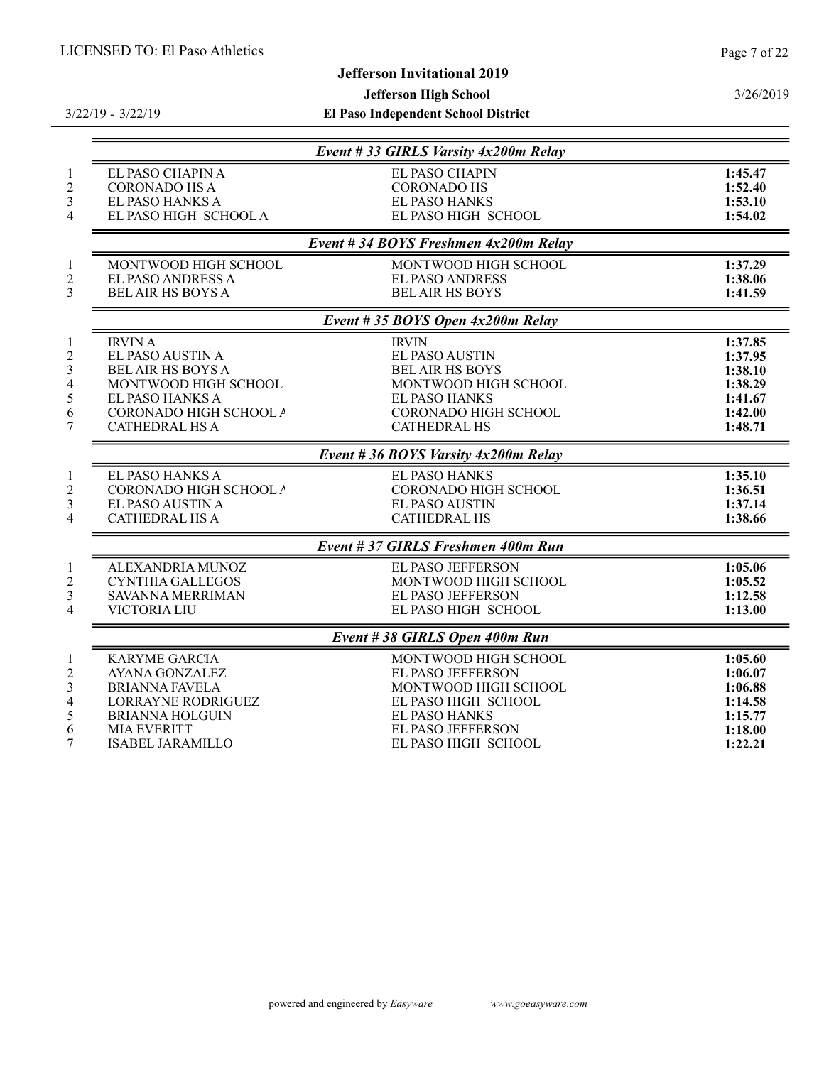# Jefferson Invitational 2019

# Jefferson High School

3/22/19 - 3/22/19

|                                                         |                                                                                                                                                              | Event #33 GIRLS Varsity 4x200m Relay                                                                                                                    |                                                                           |
|---------------------------------------------------------|--------------------------------------------------------------------------------------------------------------------------------------------------------------|---------------------------------------------------------------------------------------------------------------------------------------------------------|---------------------------------------------------------------------------|
| $\mathbf{1}$<br>$\overline{c}$<br>3<br>4                | EL PASO CHAPIN A<br><b>CORONADO HS A</b><br>EL PASO HANKS A<br>EL PASO HIGH SCHOOL A                                                                         | EL PASO CHAPIN<br><b>CORONADO HS</b><br><b>EL PASO HANKS</b><br>EL PASO HIGH SCHOOL                                                                     | 1:45.47<br>1:52.40<br>1:53.10<br>1:54.02                                  |
|                                                         |                                                                                                                                                              | Event #34 BOYS Freshmen 4x200m Relay                                                                                                                    |                                                                           |
| $\mathbf{1}$<br>$\overline{c}$<br>3                     | MONTWOOD HIGH SCHOOL<br><b>EL PASO ANDRESS A</b><br><b>BEL AIR HS BOYS A</b>                                                                                 | MONTWOOD HIGH SCHOOL<br><b>EL PASO ANDRESS</b><br><b>BEL AIR HS BOYS</b>                                                                                | 1:37.29<br>1:38.06<br>1:41.59                                             |
|                                                         |                                                                                                                                                              | Event # 35 BOYS Open $4x200m$ Relay                                                                                                                     |                                                                           |
| $\mathbf{1}$<br>$\overline{2}$<br>3<br>4<br>5<br>6<br>7 | <b>IRVIN A</b><br>EL PASO AUSTIN A<br><b>BEL AIR HS BOYS A</b><br>MONTWOOD HIGH SCHOOL<br>EL PASO HANKS A<br>CORONADO HIGH SCHOOL A<br><b>CATHEDRAL HS A</b> | <b>IRVIN</b><br>EL PASO AUSTIN<br><b>BEL AIR HS BOYS</b><br>MONTWOOD HIGH SCHOOL<br><b>EL PASO HANKS</b><br>CORONADO HIGH SCHOOL<br><b>CATHEDRAL HS</b> | 1:37.85<br>1:37.95<br>1:38.10<br>1:38.29<br>1:41.67<br>1:42.00<br>1:48.71 |
|                                                         |                                                                                                                                                              | Event #36 BOYS Varsity 4x200m Relay                                                                                                                     |                                                                           |
| $\mathbf{1}$<br>$\overline{c}$<br>3<br>4                | EL PASO HANKS A<br>CORONADO HIGH SCHOOL A<br>EL PASO AUSTIN A<br><b>CATHEDRAL HS A</b>                                                                       | <b>EL PASO HANKS</b><br>CORONADO HIGH SCHOOL<br><b>EL PASO AUSTIN</b><br><b>CATHEDRAL HS</b>                                                            | 1:35.10<br>1:36.51<br>1:37.14<br>1:38.66                                  |
|                                                         |                                                                                                                                                              | Event #37 GIRLS Freshmen 400m Run                                                                                                                       |                                                                           |
| $\mathbf{1}$<br>$\overline{c}$<br>3<br>4                | ALEXANDRIA MUNOZ<br><b>CYNTHIA GALLEGOS</b><br>SAVANNA MERRIMAN<br><b>VICTORIA LIU</b>                                                                       | <b>EL PASO JEFFERSON</b><br>MONTWOOD HIGH SCHOOL<br><b>EL PASO JEFFERSON</b><br>EL PASO HIGH SCHOOL                                                     | 1:05.06<br>1:05.52<br>1:12.58<br>1:13.00                                  |
|                                                         |                                                                                                                                                              | Event #38 GIRLS Open 400m Run                                                                                                                           |                                                                           |
| $\mathbf{1}$<br>$\overline{c}$<br>3<br>4<br>5<br>6      | <b>KARYME GARCIA</b><br><b>AYANA GONZALEZ</b><br><b>BRIANNA FAVELA</b><br><b>LORRAYNE RODRIGUEZ</b><br><b>BRIANNA HOLGUIN</b><br><b>MIA EVERITT</b>          | MONTWOOD HIGH SCHOOL<br>EL PASO JEFFERSON<br>MONTWOOD HIGH SCHOOL<br>EL PASO HIGH SCHOOL<br><b>EL PASO HANKS</b><br><b>EL PASO JEFFERSON</b>            | 1:05.60<br>1:06.07<br>1:06.88<br>1:14.58<br>1:15.77<br>1:18.00            |
| 7                                                       | <b>ISABEL JARAMILLO</b>                                                                                                                                      | EL PASO HIGH SCHOOL                                                                                                                                     | 1:22.21                                                                   |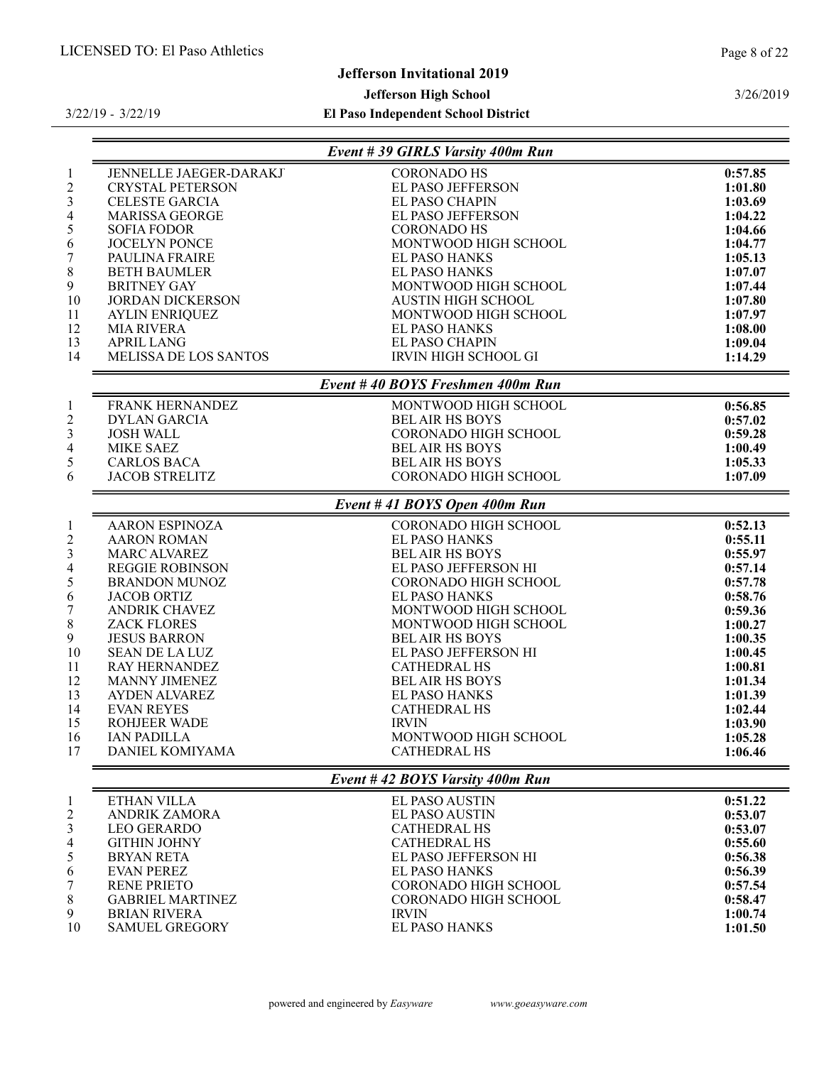## Jefferson Invitational 2019

#### Jefferson High School

El Paso Independent School District

3/26/2019

|                         |                         | Event #39 GIRLS Varsity 400m Run |         |
|-------------------------|-------------------------|----------------------------------|---------|
| 1                       | JENNELLE JAEGER-DARAKJ  | <b>CORONADO HS</b>               | 0:57.85 |
| $\overline{c}$          | <b>CRYSTAL PETERSON</b> | <b>EL PASO JEFFERSON</b>         | 1:01.80 |
| 3                       | <b>CELESTE GARCIA</b>   | EL PASO CHAPIN                   | 1:03.69 |
| 4                       | <b>MARISSA GEORGE</b>   | EL PASO JEFFERSON                | 1:04.22 |
| 5                       | <b>SOFIA FODOR</b>      | <b>CORONADO HS</b>               | 1:04.66 |
| 6                       | <b>JOCELYN PONCE</b>    | MONTWOOD HIGH SCHOOL             | 1:04.77 |
| 7                       | PAULINA FRAIRE          | EL PASO HANKS                    | 1:05.13 |
| 8                       | <b>BETH BAUMLER</b>     | EL PASO HANKS                    | 1:07.07 |
| 9                       | <b>BRITNEY GAY</b>      | MONTWOOD HIGH SCHOOL             | 1:07.44 |
| 10                      | <b>JORDAN DICKERSON</b> | <b>AUSTIN HIGH SCHOOL</b>        | 1:07.80 |
| 11                      | <b>AYLIN ENRIQUEZ</b>   | MONTWOOD HIGH SCHOOL             | 1:07.97 |
| 12                      | <b>MIA RIVERA</b>       | <b>EL PASO HANKS</b>             | 1:08.00 |
| 13                      | <b>APRIL LANG</b>       | EL PASO CHAPIN                   | 1:09.04 |
| 14                      | MELISSA DE LOS SANTOS   | IRVIN HIGH SCHOOL GI             | 1:14.29 |
|                         |                         | Event #40 BOYS Freshmen 400m Run |         |
| 1                       | <b>FRANK HERNANDEZ</b>  | MONTWOOD HIGH SCHOOL             | 0:56.85 |
| $\overline{\mathbf{c}}$ | <b>DYLAN GARCIA</b>     | <b>BELAIR HS BOYS</b>            | 0:57.02 |
| 3                       | <b>JOSH WALL</b>        | CORONADO HIGH SCHOOL             | 0:59.28 |
| 4                       | <b>MIKE SAEZ</b>        | <b>BELAIR HS BOYS</b>            | 1:00.49 |
| 5                       | <b>CARLOS BACA</b>      | <b>BEL AIR HS BOYS</b>           | 1:05.33 |
| 6                       | <b>JACOB STRELITZ</b>   | CORONADO HIGH SCHOOL             | 1:07.09 |
|                         |                         | Event # 41 BOYS Open 400m Run    |         |
| 1                       | <b>AARON ESPINOZA</b>   | <b>CORONADO HIGH SCHOOL</b>      | 0:52.13 |
| $\overline{\mathbf{c}}$ | <b>AARON ROMAN</b>      | EL PASO HANKS                    | 0:55.11 |
| 3                       | <b>MARC ALVAREZ</b>     | <b>BEL AIR HS BOYS</b>           | 0:55.97 |
| 4                       | <b>REGGIE ROBINSON</b>  | EL PASO JEFFERSON HI             | 0:57.14 |
| 5                       | <b>BRANDON MUNOZ</b>    | <b>CORONADO HIGH SCHOOL</b>      | 0:57.78 |
| 6                       | <b>JACOB ORTIZ</b>      | <b>EL PASO HANKS</b>             | 0:58.76 |
| 7                       | <b>ANDRIK CHAVEZ</b>    | MONTWOOD HIGH SCHOOL             | 0:59.36 |
| 8                       | <b>ZACK FLORES</b>      | MONTWOOD HIGH SCHOOL             | 1:00.27 |
| 9                       | <b>JESUS BARRON</b>     | <b>BEL AIR HS BOYS</b>           | 1:00.35 |
| 10                      | <b>SEAN DE LA LUZ</b>   | EL PASO JEFFERSON HI             | 1:00.45 |
| 11                      | <b>RAY HERNANDEZ</b>    | <b>CATHEDRAL HS</b>              | 1:00.81 |
| 12                      | <b>MANNY JIMENEZ</b>    | <b>BEL AIR HS BOYS</b>           | 1:01.34 |
| 13                      | AYDEN ALVAREZ           | <b>EL PASO HANKS</b>             | 1:01.39 |
| 14                      | <b>EVAN REYES</b>       | <b>CATHEDRAL HS</b>              | 1:02.44 |
| 15                      | <b>ROHJEER WADE</b>     | <b>IRVIN</b>                     | 1:03.90 |
| 16                      | <b>IAN PADILLA</b>      | MONTWOOD HIGH SCHOOL             | 1:05.28 |
| 17                      | DANIEL KOMIYAMA         | <b>CATHEDRAL HS</b>              | 1:06.46 |
|                         |                         | Event #42 BOYS Varsity 400m Run  |         |
| 1                       | ETHAN VILLA             | <b>EL PASO AUSTIN</b>            | 0:51.22 |
| $\overline{c}$          | <b>ANDRIK ZAMORA</b>    | <b>EL PASO AUSTIN</b>            | 0:53.07 |
| 3                       | <b>LEO GERARDO</b>      | <b>CATHEDRAL HS</b>              | 0:53.07 |
| 4                       | <b>GITHIN JOHNY</b>     | <b>CATHEDRAL HS</b>              | 0:55.60 |
| 5                       | <b>BRYAN RETA</b>       | EL PASO JEFFERSON HI             | 0:56.38 |
| 6                       | <b>EVAN PEREZ</b>       | EL PASO HANKS                    | 0:56.39 |

RENE PRIETO CORONADO HIGH SCHOOL 0:57.54

8 GABRIEL MARTINEZ CORONADO HIGH SCHOOL 0:58.47<br>9 BRIAN RIVERA 1:00.74

9 BRIAN RIVERA IRVIN IRVIN ISLAM SAMUEL GREGORY LEL PASO HANKS 1:00.74 1:00.74 SAMUEL GREGORY

powered and engineered by Easyware www.goeasyware.com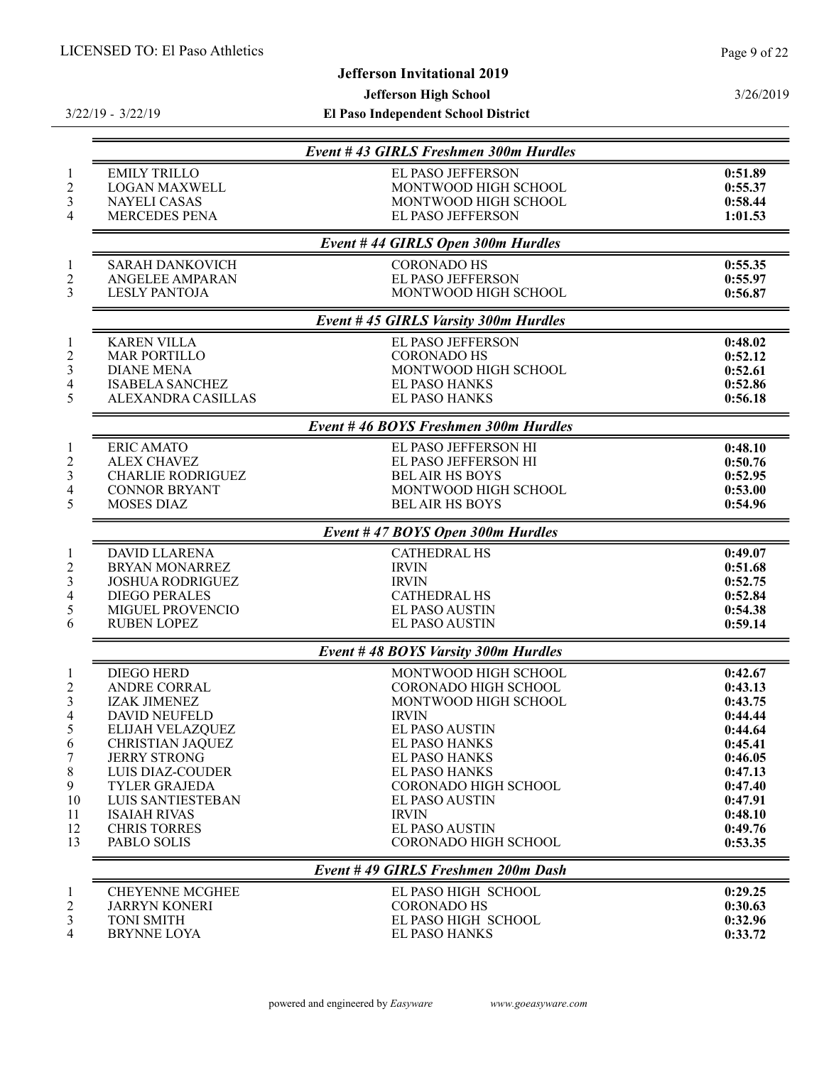# Jefferson Invitational 2019

# Jefferson High School

3/22/19 - 3/22/19

|                          |                          | Event #43 GIRLS Freshmen 300m Hurdles |         |
|--------------------------|--------------------------|---------------------------------------|---------|
| $\mathbf{1}$             | <b>EMILY TRILLO</b>      | <b>EL PASO JEFFERSON</b>              | 0:51.89 |
| $\overline{2}$           | <b>LOGAN MAXWELL</b>     | MONTWOOD HIGH SCHOOL                  | 0:55.37 |
| 3                        | <b>NAYELI CASAS</b>      | MONTWOOD HIGH SCHOOL                  | 0:58.44 |
| 4                        | <b>MERCEDES PENA</b>     | EL PASO JEFFERSON                     | 1:01.53 |
|                          |                          | Event #44 GIRLS Open 300m Hurdles     |         |
| $\mathbf{1}$             | <b>SARAH DANKOVICH</b>   | <b>CORONADO HS</b>                    | 0:55.35 |
| $\overline{2}$           | <b>ANGELEE AMPARAN</b>   | <b>EL PASO JEFFERSON</b>              | 0:55.97 |
| 3                        | <b>LESLY PANTOJA</b>     | MONTWOOD HIGH SCHOOL                  | 0:56.87 |
|                          |                          | Event #45 GIRLS Varsity 300m Hurdles  |         |
| $\mathbf{1}$             | <b>KAREN VILLA</b>       | EL PASO JEFFERSON                     | 0:48.02 |
| $\overline{c}$           | <b>MAR PORTILLO</b>      | <b>CORONADO HS</b>                    | 0:52.12 |
| $\mathfrak{Z}$           | <b>DIANE MENA</b>        | MONTWOOD HIGH SCHOOL                  | 0:52.61 |
| 4                        | <b>ISABELA SANCHEZ</b>   | <b>EL PASO HANKS</b>                  | 0:52.86 |
| 5                        | ALEXANDRA CASILLAS       | <b>EL PASO HANKS</b>                  | 0:56.18 |
|                          |                          | Event #46 BOYS Freshmen 300m Hurdles  |         |
| $\mathbf{1}$             | <b>ERIC AMATO</b>        | EL PASO JEFFERSON HI                  | 0:48.10 |
| $\overline{c}$           | <b>ALEX CHAVEZ</b>       | EL PASO JEFFERSON HI                  | 0:50.76 |
| $\mathfrak{Z}$           | <b>CHARLIE RODRIGUEZ</b> | <b>BEL AIR HS BOYS</b>                | 0:52.95 |
| $\overline{\mathbf{4}}$  | <b>CONNOR BRYANT</b>     | MONTWOOD HIGH SCHOOL                  | 0:53.00 |
| 5                        | <b>MOSES DIAZ</b>        | <b>BEL AIR HS BOYS</b>                | 0:54.96 |
|                          |                          | Event # 47 BOYS Open 300m Hurdles     |         |
| $\mathbf{1}$             | <b>DAVID LLARENA</b>     | <b>CATHEDRAL HS</b>                   | 0:49.07 |
| $\overline{c}$           | <b>BRYAN MONARREZ</b>    | <b>IRVIN</b>                          | 0:51.68 |
| $\mathfrak{Z}$           | <b>JOSHUA RODRIGUEZ</b>  | <b>IRVIN</b>                          | 0:52.75 |
| 4                        | <b>DIEGO PERALES</b>     | <b>CATHEDRAL HS</b>                   | 0:52.84 |
| 5                        | MIGUEL PROVENCIO         | <b>EL PASO AUSTIN</b>                 | 0:54.38 |
| 6                        | <b>RUBEN LOPEZ</b>       | <b>EL PASO AUSTIN</b>                 | 0:59.14 |
|                          |                          | Event #48 BOYS Varsity 300m Hurdles   |         |
| $\mathbf{1}$             | <b>DIEGO HERD</b>        | MONTWOOD HIGH SCHOOL                  | 0:42.67 |
| $\overline{c}$           | ANDRE CORRAL             | CORONADO HIGH SCHOOL                  | 0:43.13 |
| $\mathfrak{Z}$           | <b>IZAK JIMENEZ</b>      | MONTWOOD HIGH SCHOOL                  | 0:43.75 |
| $\overline{\mathcal{A}}$ | <b>DAVID NEUFELD</b>     | <b>IRVIN</b>                          | 0:44.44 |
| 5                        | ELIJAH VELAZQUEZ         | <b>EL PASO AUSTIN</b>                 | 0:44.64 |
| 6                        | CHRISTIAN JAQUEZ         | EL PASO HANKS                         | 0:45.41 |
| 7                        | <b>JERRY STRONG</b>      | <b>EL PASO HANKS</b>                  | 0:46.05 |
| 8                        | LUIS DIAZ-COUDER         | <b>EL PASO HANKS</b>                  | 0:47.13 |
| 9                        | <b>TYLER GRAJEDA</b>     | <b>CORONADO HIGH SCHOOL</b>           | 0:47.40 |
| 10                       | LUIS SANTIESTEBAN        | <b>EL PASO AUSTIN</b>                 | 0:47.91 |
| 11                       | <b>ISAIAH RIVAS</b>      | <b>IRVIN</b>                          | 0:48.10 |
| 12                       | <b>CHRIS TORRES</b>      | <b>EL PASO AUSTIN</b>                 | 0:49.76 |
| 13                       | PABLO SOLIS              | <b>CORONADO HIGH SCHOOL</b>           | 0:53.35 |
|                          |                          | Event #49 GIRLS Freshmen 200m Dash    |         |
| $\mathbf{1}$             | <b>CHEYENNE MCGHEE</b>   | EL PASO HIGH SCHOOL                   | 0:29.25 |
| $\overline{\mathbf{c}}$  | <b>JARRYN KONERI</b>     | <b>CORONADO HS</b>                    | 0:30.63 |
| 3                        | <b>TONI SMITH</b>        | EL PASO HIGH SCHOOL                   | 0:32.96 |
| 4                        | <b>BRYNNE LOYA</b>       | <b>EL PASO HANKS</b>                  | 0:33.72 |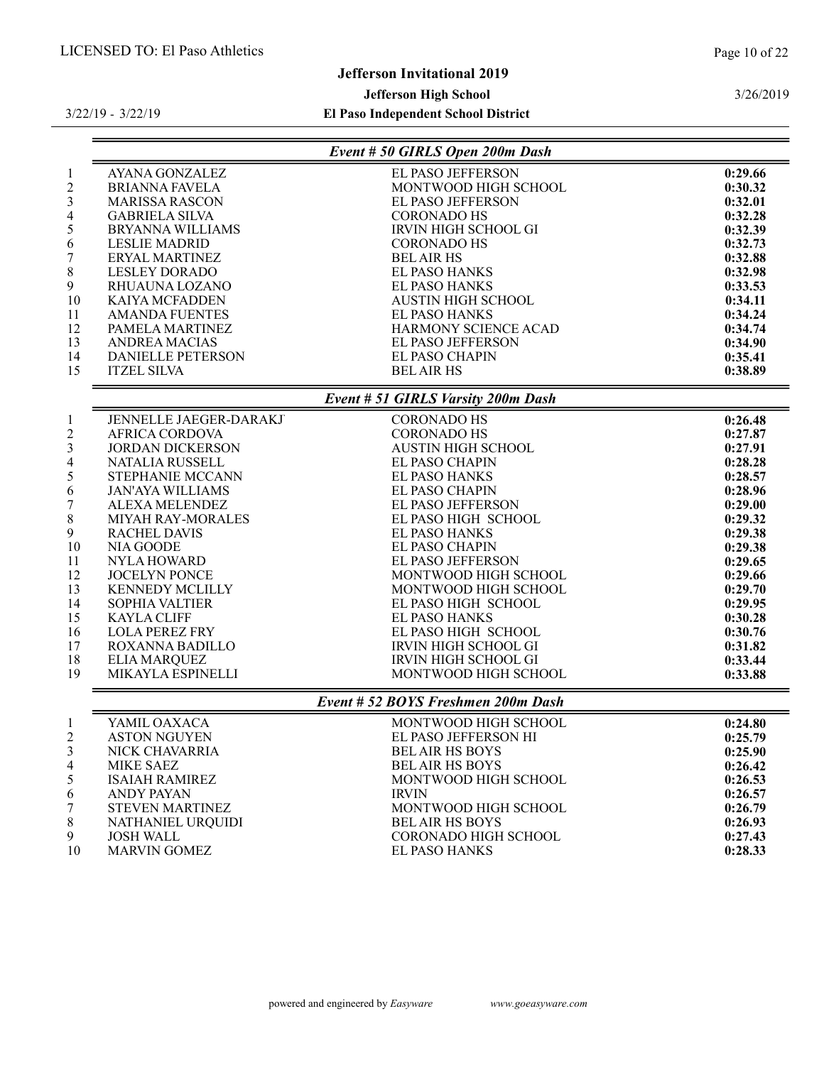3/26/2019

# Jefferson Invitational 2019

# Jefferson High School

|          |                          | Event # 50 GIRLS Open 200m Dash    |         |
|----------|--------------------------|------------------------------------|---------|
|          | AYANA GONZALEZ           | EL PASO JEFFERSON                  | 0:29.66 |
|          | <b>BRIANNA FAVELA</b>    | MONTWOOD HIGH SCHOOL               | 0:30.32 |
|          | <b>MARISSA RASCON</b>    | EL PASO JEFFERSON                  | 0:32.01 |
|          | <b>GABRIELA SILVA</b>    | <b>CORONADO HS</b>                 | 0:32.28 |
|          | <b>BRYANNA WILLIAMS</b>  | <b>IRVIN HIGH SCHOOL GI</b>        | 0:32.39 |
|          | <b>LESLIE MADRID</b>     | <b>CORONADO HS</b>                 | 0:32.73 |
|          | ERYAL MARTINEZ           | <b>BEL AIR HS</b>                  | 0:32.88 |
|          | <b>LESLEY DORADO</b>     | <b>EL PASO HANKS</b>               | 0:32.98 |
|          | RHUAUNA LOZANO           | <b>EL PASO HANKS</b>               | 0:33.53 |
| 10       | KAIYA MCFADDEN           | <b>AUSTIN HIGH SCHOOL</b>          | 0:34.11 |
| 11       | <b>AMANDA FUENTES</b>    | <b>EL PASO HANKS</b>               | 0:34.24 |
| 12       | PAMELA MARTINEZ          | HARMONY SCIENCE ACAD               | 0:34.74 |
| 13       | <b>ANDREA MACIAS</b>     | EL PASO JEFFERSON                  | 0:34.90 |
| 14       | <b>DANIELLE PETERSON</b> | EL PASO CHAPIN                     | 0:35.41 |
| 15       | <b>ITZEL SILVA</b>       | <b>BEL AIR HS</b>                  | 0:38.89 |
|          |                          | Event # 51 GIRLS Varsity 200m Dash |         |
|          | JENNELLE JAEGER-DARAKJ   | <b>CORONADO HS</b>                 | 0:26.48 |
|          | <b>AFRICA CORDOVA</b>    | <b>CORONADO HS</b>                 | 0:27.87 |
|          | <b>JORDAN DICKERSON</b>  | <b>AUSTIN HIGH SCHOOL</b>          | 0:27.91 |
|          | <b>NATALIA RUSSELL</b>   | EL PASO CHAPIN                     | 0:28.28 |
|          | STEPHANIE MCCANN         | EL PASO HANKS                      | 0:28.57 |
|          | <b>JAN'AYA WILLIAMS</b>  | <b>EL PASO CHAPIN</b>              | 0:28.96 |
|          | ALEXA MELENDEZ           | <b>EL PASO JEFFERSON</b>           | 0:29.00 |
|          | MIYAH RAY-MORALES        | EL PASO HIGH SCHOOL                | 0:29.32 |
|          | <b>RACHEL DAVIS</b>      | <b>EL PASO HANKS</b>               | 0:29.38 |
| 10       | NIA GOODE                | <b>EL PASO CHAPIN</b>              | 0:29.38 |
|          | <b>NYLA HOWARD</b>       | <b>EL PASO JEFFERSON</b>           | 0:29.65 |
| 12<br>13 | <b>JOCELYN PONCE</b>     | MONTWOOD HIGH SCHOOL               | 0:29.66 |
|          | <b>KENNEDY MCLILLY</b>   | MONTWOOD HIGH SCHOOL               | 0:29.70 |
| 14       | <b>SOPHIA VALTIER</b>    | EL PASO HIGH SCHOOL                | 0:29.95 |
| 15       | <b>KAYLA CLIFF</b>       | <b>EL PASO HANKS</b>               | 0:30.28 |
| 16       | <b>LOLA PEREZ FRY</b>    | EL PASO HIGH SCHOOL                | 0:30.76 |
| 17<br>18 | ROXANNA BADILLO          | IRVIN HIGH SCHOOL GI               | 0:31.82 |
| 19       | <b>ELIA MARQUEZ</b>      | <b>IRVIN HIGH SCHOOL GI</b>        | 0:33.44 |
|          | MIKAYLA ESPINELLI        | MONTWOOD HIGH SCHOOL               | 0:33.88 |
|          |                          | Event # 52 BOYS Freshmen 200m Dash |         |
|          | YAMIL OAXACA             | MONTWOOD HIGH SCHOOL               | 0:24.80 |
|          | <b>ASTON NGUYEN</b>      | EL PASO JEFFERSON HI               | 0:25.79 |
|          | NICK CHAVARRIA           | <b>BEL AIR HS BOYS</b>             | 0:25.90 |
|          | MIKE SAEZ                | <b>BEL AIR HS BOYS</b>             | 0:26.42 |
|          | <b>ISAIAH RAMIREZ</b>    | MONTWOOD HIGH SCHOOL               | 0:26.53 |
|          | ANDY PAYAN               | <b>IRVIN</b>                       | 0:26.57 |
|          | <b>STEVEN MARTINEZ</b>   | MONTWOOD HIGH SCHOOL               | 0:26.79 |
|          | NATHANIEL URQUIDI        | <b>BEL AIR HS BOYS</b>             | 0:26.93 |
|          | <b>JOSH WALL</b>         | CORONADO HIGH SCHOOL               | 0:27.43 |
| 10       | <b>MARVIN GOMEZ</b>      | <b>EL PASO HANKS</b>               | 0:28.33 |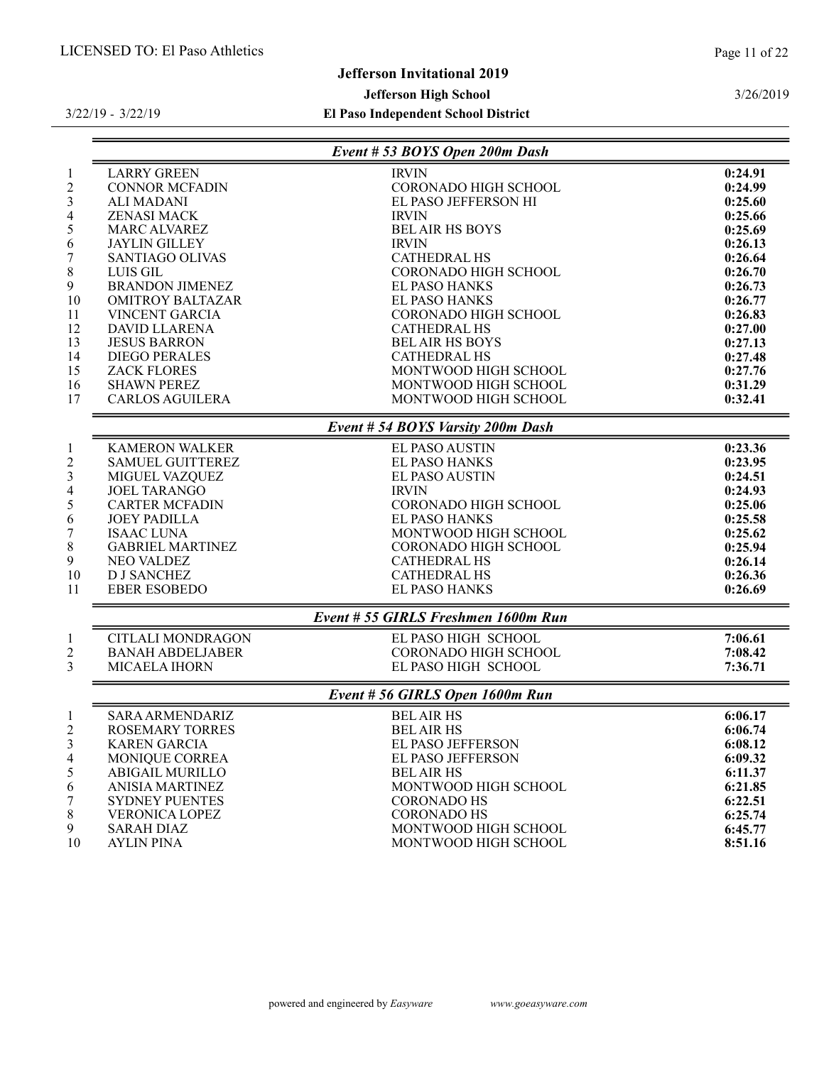# Jefferson Invitational 2019

# Jefferson High School

# El Paso Independent School District

3/22/19 - 3/22/19

|                                |                                             | Event # 53 BOYS Open 200m Dash       |                    |
|--------------------------------|---------------------------------------------|--------------------------------------|--------------------|
| $\mathbf{1}$<br>$\overline{c}$ | <b>LARRY GREEN</b><br><b>CONNOR MCFADIN</b> | <b>IRVIN</b><br>CORONADO HIGH SCHOOL | 0:24.91<br>0:24.99 |
| 3                              | <b>ALI MADANI</b>                           | EL PASO JEFFERSON HI                 | 0:25.60            |
| 4                              | <b>ZENASI MACK</b>                          | <b>IRVIN</b>                         | 0:25.66            |
| 5                              | <b>MARC ALVAREZ</b>                         | <b>BEL AIR HS BOYS</b>               | 0:25.69            |
| 6                              | <b>JAYLIN GILLEY</b>                        | <b>IRVIN</b>                         | 0:26.13            |
| 7                              | SANTIAGO OLIVAS                             | <b>CATHEDRAL HS</b>                  | 0:26.64            |
| $8\,$                          | LUIS GIL                                    | <b>CORONADO HIGH SCHOOL</b>          | 0:26.70            |
| 9                              | <b>BRANDON JIMENEZ</b>                      | <b>EL PASO HANKS</b>                 | 0:26.73            |
| 10                             | <b>OMITROY BALTAZAR</b>                     | <b>EL PASO HANKS</b>                 | 0:26.77            |
| 11                             | VINCENT GARCIA                              | CORONADO HIGH SCHOOL                 | 0:26.83            |
| 12                             | <b>DAVID LLARENA</b>                        | <b>CATHEDRAL HS</b>                  | 0:27.00            |
| 13                             | <b>JESUS BARRON</b>                         | <b>BELAIR HS BOYS</b>                | 0:27.13            |
| 14                             | <b>DIEGO PERALES</b>                        | <b>CATHEDRAL HS</b>                  | 0:27.48            |
| 15                             | <b>ZACK FLORES</b>                          | MONTWOOD HIGH SCHOOL                 | 0:27.76            |
| 16                             | <b>SHAWN PEREZ</b>                          | MONTWOOD HIGH SCHOOL                 | 0:31.29            |
| 17                             | <b>CARLOS AGUILERA</b>                      | MONTWOOD HIGH SCHOOL                 | 0:32.41            |
|                                |                                             | Event # 54 BOYS Varsity 200m Dash    |                    |
| $\mathbf{1}$                   | <b>KAMERON WALKER</b>                       | <b>EL PASO AUSTIN</b>                | 0:23.36            |
| $\overline{c}$                 | <b>SAMUEL GUITTEREZ</b>                     | EL PASO HANKS                        | 0:23.95            |
| $\mathfrak{Z}$                 | MIGUEL VAZQUEZ                              | <b>EL PASO AUSTIN</b>                | 0:24.51            |
| 4                              | <b>JOEL TARANGO</b>                         | <b>IRVIN</b>                         | 0:24.93            |
| 5                              | <b>CARTER MCFADIN</b>                       | CORONADO HIGH SCHOOL                 | 0:25.06            |
| 6                              | <b>JOEY PADILLA</b>                         | EL PASO HANKS                        | 0:25.58            |
| 7                              | <b>ISAAC LUNA</b>                           | MONTWOOD HIGH SCHOOL                 | 0:25.62            |
| 8                              | <b>GABRIEL MARTINEZ</b>                     | CORONADO HIGH SCHOOL                 | 0:25.94            |
| 9                              | NEO VALDEZ                                  | <b>CATHEDRAL HS</b>                  | 0:26.14            |
| 10                             | <b>D J SANCHEZ</b>                          | <b>CATHEDRAL HS</b>                  | 0:26.36            |
| 11                             | <b>EBER ESOBEDO</b>                         | EL PASO HANKS                        | 0:26.69            |
|                                |                                             | Event # 55 GIRLS Freshmen 1600m Run  |                    |
| $\mathbf{1}$                   | <b>CITLALI MONDRAGON</b>                    | EL PASO HIGH SCHOOL                  | 7:06.61            |
| 2                              | <b>BANAH ABDELJABER</b>                     | <b>CORONADO HIGH SCHOOL</b>          | 7:08.42            |
| 3                              | MICAELA IHORN                               | EL PASO HIGH SCHOOL                  | 7:36.71            |
|                                |                                             | Event # 56 GIRLS Open 1600m Run      |                    |
| $\mathbf{1}$                   | <b>SARA ARMENDARIZ</b>                      | <b>BEL AIR HS</b>                    | 6:06.17            |
| 2                              | <b>ROSEMARY TORRES</b>                      | <b>BEL AIR HS</b>                    | 6:06.74            |
| 3                              | <b>KAREN GARCIA</b>                         | EL PASO JEFFERSON                    | 6:08.12            |
| 4                              | MONIQUE CORREA                              | EL PASO JEFFERSON                    | 6:09.32            |
| 5                              | <b>ABIGAIL MURILLO</b>                      | <b>BEL AIR HS</b>                    | 6:11.37            |
| 6                              | <b>ANISIA MARTINEZ</b>                      | MONTWOOD HIGH SCHOOL                 | 6:21.85            |
| 7                              | <b>SYDNEY PUENTES</b>                       | <b>CORONADO HS</b>                   | 6:22.51            |
| 8                              | <b>VERONICA LOPEZ</b>                       | <b>CORONADO HS</b>                   | 6:25.74            |
| 9                              | <b>SARAH DIAZ</b>                           | MONTWOOD HIGH SCHOOL                 | 6:45.77            |
| 10                             | <b>AYLIN PINA</b>                           | MONTWOOD HIGH SCHOOL                 | 8:51.16            |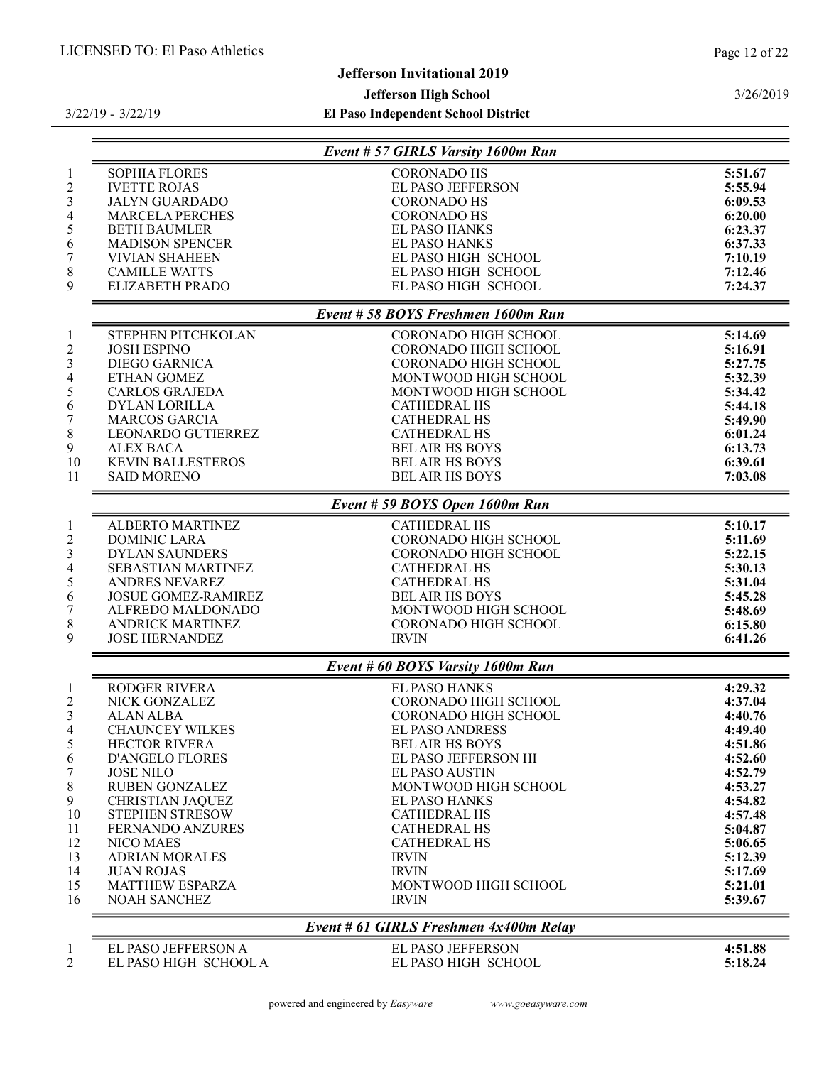# Jefferson Invitational 2019

# Jefferson High School

El Paso Independent School District

|                                               | Event # 57 GIRLS Varsity 1600m Run   |                    |
|-----------------------------------------------|--------------------------------------|--------------------|
| <b>SOPHIA FLORES</b>                          | <b>CORONADO HS</b>                   | 5:51.67            |
| <b>IVETTE ROJAS</b>                           | EL PASO JEFFERSON                    | 5:55.94            |
| <b>JALYN GUARDADO</b>                         | <b>CORONADO HS</b>                   | 6:09.53            |
| <b>MARCELA PERCHES</b>                        | <b>CORONADO HS</b>                   | 6:20.00            |
| <b>BETH BAUMLER</b>                           | EL PASO HANKS                        | 6:23.37            |
| <b>MADISON SPENCER</b>                        | <b>EL PASO HANKS</b>                 | 6:37.33            |
| <b>VIVIAN SHAHEEN</b>                         | EL PASO HIGH SCHOOL                  | 7:10.19            |
| <b>CAMILLE WATTS</b>                          | EL PASO HIGH SCHOOL                  | 7:12.46            |
| <b>ELIZABETH PRADO</b>                        | EL PASO HIGH SCHOOL                  | 7:24.37            |
|                                               | Event # 58 BOYS Freshmen 1600m Run   |                    |
| STEPHEN PITCHKOLAN                            | <b>CORONADO HIGH SCHOOL</b>          | 5:14.69            |
| <b>JOSH ESPINO</b>                            | <b>CORONADO HIGH SCHOOL</b>          | 5:16.91            |
| <b>DIEGO GARNICA</b>                          | <b>CORONADO HIGH SCHOOL</b>          | 5:27.75            |
| <b>ETHAN GOMEZ</b>                            | MONTWOOD HIGH SCHOOL                 | 5:32.39            |
| <b>CARLOS GRAJEDA</b>                         | MONTWOOD HIGH SCHOOL                 | 5:34.42            |
| <b>DYLAN LORILLA</b>                          | <b>CATHEDRAL HS</b>                  | 5:44.18            |
| <b>MARCOS GARCIA</b>                          | <b>CATHEDRAL HS</b>                  | 5:49.90            |
| LEONARDO GUTIERREZ                            | <b>CATHEDRAL HS</b>                  | 6:01.24            |
| <b>ALEX BACA</b>                              | <b>BEL AIR HS BOYS</b>               | 6:13.73            |
| <b>KEVIN BALLESTEROS</b>                      | <b>BELAIR HS BOYS</b>                | 6:39.61            |
| <b>SAID MORENO</b>                            | <b>BEL AIR HS BOYS</b>               | 7:03.08            |
|                                               |                                      |                    |
|                                               | Event # 59 BOYS Open 1600m Run       |                    |
| ALBERTO MARTINEZ                              | <b>CATHEDRAL HS</b>                  | 5:10.17            |
| <b>DOMINIC LARA</b>                           | CORONADO HIGH SCHOOL                 | 5:11.69            |
| <b>DYLAN SAUNDERS</b>                         | <b>CORONADO HIGH SCHOOL</b>          | 5:22.15            |
| <b>SEBASTIAN MARTINEZ</b>                     | <b>CATHEDRAL HS</b>                  | 5:30.13            |
| ANDRES NEVAREZ                                | <b>CATHEDRAL HS</b>                  | 5:31.04            |
| <b>JOSUE GOMEZ-RAMIREZ</b>                    | <b>BEL AIR HS BOYS</b>               | 5:45.28            |
| ALFREDO MALDONADO                             | MONTWOOD HIGH SCHOOL                 | 5:48.69            |
| <b>ANDRICK MARTINEZ</b>                       | CORONADO HIGH SCHOOL                 | 6:15.80            |
| <b>JOSE HERNANDEZ</b>                         | <b>IRVIN</b>                         | 6:41.26            |
|                                               | Event # 60 BOYS Varsity 1600m Run    |                    |
| <b>RODGER RIVERA</b>                          | EL PASO HANKS                        | 4:29.32            |
| NICK GONZALEZ                                 | <b>CORONADO HIGH SCHOOL</b>          | 4:37.04            |
| <b>ALAN ALBA</b>                              | <b>CORONADO HIGH SCHOOL</b>          | 4:40.76            |
| <b>CHAUNCEY WILKES</b>                        | <b>EL PASO ANDRESS</b>               | 4:49.40            |
| <b>HECTOR RIVERA</b>                          | <b>BEL AIR HS BOYS</b>               | 4:51.86            |
| <b>D'ANGELO FLORES</b>                        | EL PASO JEFFERSON HI                 | 4:52.60            |
| <b>JOSE NILO</b>                              | <b>EL PASO AUSTIN</b>                | 4:52.79            |
| <b>RUBEN GONZALEZ</b>                         | MONTWOOD HIGH SCHOOL                 | 4:53.27            |
| <b>CHRISTIAN JAQUEZ</b>                       | <b>EL PASO HANKS</b>                 | 4:54.82            |
| <b>STEPHEN STRESOW</b>                        | <b>CATHEDRAL HS</b>                  | 4:57.48            |
| <b>FERNANDO ANZURES</b>                       | <b>CATHEDRAL HS</b>                  | 5:04.87            |
| NICO MAES                                     | <b>CATHEDRAL HS</b>                  | 5:06.65            |
| <b>ADRIAN MORALES</b>                         | <b>IRVIN</b>                         | 5:12.39            |
|                                               |                                      |                    |
|                                               | <b>IRVIN</b>                         | 5:17.69            |
| <b>JUAN ROJAS</b>                             |                                      |                    |
| <b>MATTHEW ESPARZA</b><br><b>NOAH SANCHEZ</b> | MONTWOOD HIGH SCHOOL<br><b>IRVIN</b> | 5:21.01<br>5:39.67 |

EL PASO HIGH SCHOOL A

EL PASO JEFFERSON A EL PASO JEFFERSON 4:51.88

#### 3/26/2019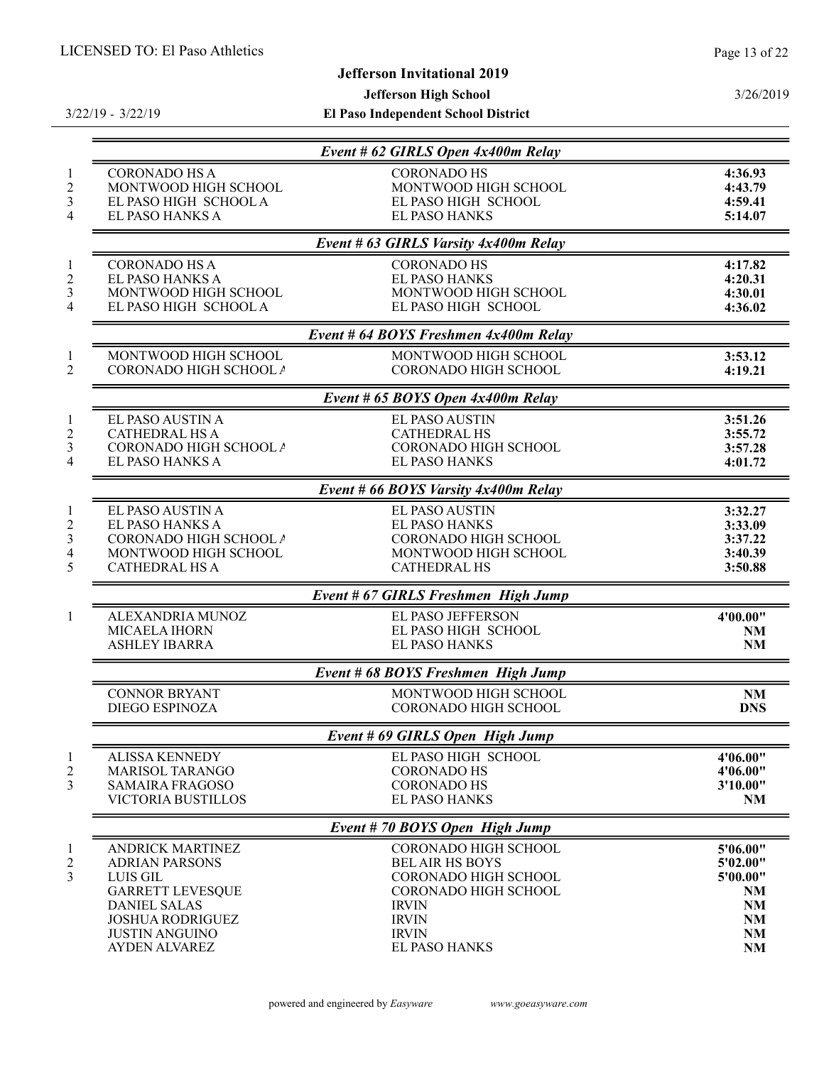# Jefferson Invitational 2019

Jefferson High School

3/22/19 - 3/22/19

|                                                  | Event # 62 GIRLS Open 4x400m Relay           |                    |
|--------------------------------------------------|----------------------------------------------|--------------------|
| <b>CORONADO HS A</b>                             | <b>CORONADO HS</b>                           | 4:36.93            |
| MONTWOOD HIGH SCHOOL<br>EL PASO HIGH SCHOOL A    | MONTWOOD HIGH SCHOOL<br>EL PASO HIGH SCHOOL  | 4:43.79            |
| EL PASO HANKS A                                  | <b>EL PASO HANKS</b>                         | 4:59.41<br>5:14.07 |
|                                                  |                                              |                    |
|                                                  | Event # 63 GIRLS Varsity 4x400m Relay        |                    |
| <b>CORONADO HS A</b>                             | <b>CORONADO HS</b>                           | 4:17.82            |
| EL PASO HANKS A<br>MONTWOOD HIGH SCHOOL          | <b>EL PASO HANKS</b><br>MONTWOOD HIGH SCHOOL | 4:20.31<br>4:30.01 |
| EL PASO HIGH SCHOOL A                            | EL PASO HIGH SCHOOL                          | 4:36.02            |
|                                                  |                                              |                    |
|                                                  | Event # 64 BOYS Freshmen 4x400m Relay        |                    |
| MONTWOOD HIGH SCHOOL                             | MONTWOOD HIGH SCHOOL                         | 3:53.12            |
| CORONADO HIGH SCHOOL A                           | <b>CORONADO HIGH SCHOOL</b>                  | 4:19.21            |
|                                                  | Event # 65 BOYS Open 4x400m Relay            |                    |
| EL PASO AUSTIN A                                 | <b>EL PASO AUSTIN</b>                        | 3:51.26            |
| <b>CATHEDRAL HS A</b>                            | <b>CATHEDRAL HS</b>                          | 3:55.72            |
| CORONADO HIGH SCHOOL A                           | CORONADO HIGH SCHOOL                         | 3:57.28            |
| EL PASO HANKS A                                  | <b>EL PASO HANKS</b>                         | 4:01.72            |
|                                                  | Event # 66 BOYS Varsity 4x400m Relay         |                    |
| EL PASO AUSTIN A                                 | EL PASO AUSTIN                               | 3:32.27            |
| EL PASO HANKS A                                  | EL PASO HANKS                                | 3:33.09            |
| CORONADO HIGH SCHOOL A                           | CORONADO HIGH SCHOOL                         | 3:37.22            |
| MONTWOOD HIGH SCHOOL<br><b>CATHEDRAL HS A</b>    | MONTWOOD HIGH SCHOOL<br><b>CATHEDRAL HS</b>  | 3:40.39<br>3:50.88 |
|                                                  |                                              |                    |
|                                                  | Event # 67 GIRLS Freshmen High Jump          |                    |
| ALEXANDRIA MUNOZ                                 | EL PASO JEFFERSON                            | 4'00.00"           |
| MICAELA IHORN                                    | EL PASO HIGH SCHOOL                          | <b>NM</b>          |
| <b>ASHLEY IBARRA</b>                             | <b>EL PASO HANKS</b>                         | <b>NM</b>          |
|                                                  | Event # 68 BOYS Freshmen High Jump           |                    |
| <b>CONNOR BRYANT</b>                             | MONTWOOD HIGH SCHOOL                         | <b>NM</b>          |
| <b>DIEGO ESPINOZA</b>                            | <b>CORONADO HIGH SCHOOL</b>                  | <b>DNS</b>         |
|                                                  | Event # 69 GIRLS Open High Jump              |                    |
| <b>ALISSA KENNEDY</b>                            | EL PASO HIGH SCHOOL                          | 4'06.00"           |
| <b>MARISOL TARANGO</b>                           | <b>CORONADO HS</b>                           | 4'06.00"           |
| SAMAIRA FRAGOSO<br>VICTORIA BUSTILLOS            | <b>CORONADO HS</b><br><b>EL PASO HANKS</b>   | 3'10.00"           |
|                                                  |                                              | <b>NM</b>          |
|                                                  | Event #70 BOYS Open High Jump                |                    |
| <b>ANDRICK MARTINEZ</b>                          | <b>CORONADO HIGH SCHOOL</b>                  | 5'06.00"           |
| <b>ADRIAN PARSONS</b>                            | <b>BEL AIR HS BOYS</b>                       | 5'02.00"           |
| LUIS GIL                                         | CORONADO HIGH SCHOOL                         | 5'00.00"           |
| <b>GARRETT LEVESQUE</b>                          | <b>CORONADO HIGH SCHOOL</b>                  | NM                 |
| <b>DANIEL SALAS</b>                              | <b>IRVIN</b>                                 | NM                 |
| <b>JOSHUA RODRIGUEZ</b><br><b>JUSTIN ANGUINO</b> | <b>IRVIN</b><br><b>IRVIN</b>                 | <b>NM</b><br>NM    |
| <b>AYDEN ALVAREZ</b>                             | <b>EL PASO HANKS</b>                         | NM                 |
|                                                  |                                              |                    |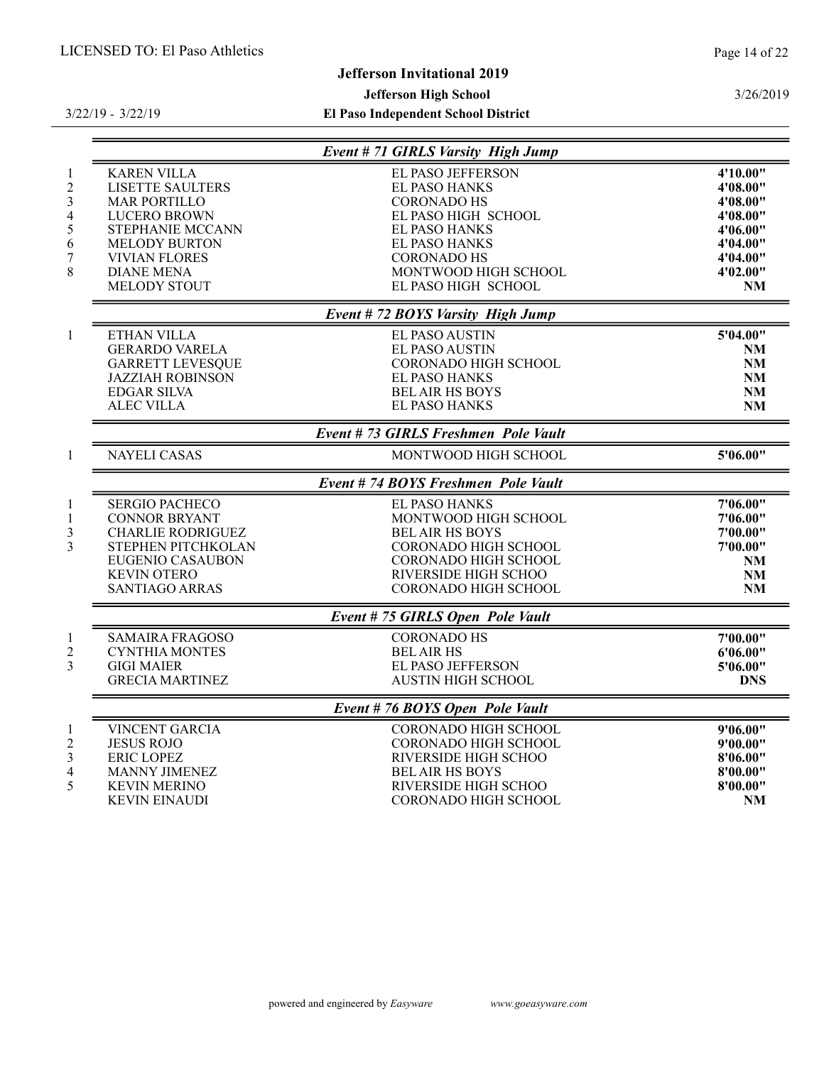3/26/2019

# Jefferson Invitational 2019

# Jefferson High School

|                                                              |                                                                                                                                                                                                      | Event # 71 GIRLS Varsity High Jump                                                                                                                                                                          |                                                                                                           |
|--------------------------------------------------------------|------------------------------------------------------------------------------------------------------------------------------------------------------------------------------------------------------|-------------------------------------------------------------------------------------------------------------------------------------------------------------------------------------------------------------|-----------------------------------------------------------------------------------------------------------|
| $\mathbf{1}$<br>$\mathfrak{2}$<br>3<br>4<br>5<br>6<br>7<br>8 | <b>KAREN VILLA</b><br><b>LISETTE SAULTERS</b><br><b>MAR PORTILLO</b><br><b>LUCERO BROWN</b><br>STEPHANIE MCCANN<br><b>MELODY BURTON</b><br><b>VIVIAN FLORES</b><br><b>DIANE MENA</b><br>MELODY STOUT | EL PASO JEFFERSON<br><b>EL PASO HANKS</b><br><b>CORONADO HS</b><br>EL PASO HIGH SCHOOL<br><b>EL PASO HANKS</b><br><b>EL PASO HANKS</b><br><b>CORONADO HS</b><br>MONTWOOD HIGH SCHOOL<br>EL PASO HIGH SCHOOL | 4'10.00"<br>4'08.00"<br>4'08.00"<br>4'08.00"<br>4'06.00"<br>4'04.00"<br>4'04.00"<br>4'02.00"<br><b>NM</b> |
|                                                              |                                                                                                                                                                                                      | Event #72 BOYS Varsity High Jump                                                                                                                                                                            |                                                                                                           |
| $\mathbf{1}$                                                 | <b>ETHAN VILLA</b><br><b>GERARDO VARELA</b><br><b>GARRETT LEVESQUE</b><br><b>JAZZIAH ROBINSON</b><br><b>EDGAR SILVA</b><br><b>ALEC VILLA</b>                                                         | <b>EL PASO AUSTIN</b><br><b>EL PASO AUSTIN</b><br><b>CORONADO HIGH SCHOOL</b><br><b>EL PASO HANKS</b><br><b>BEL AIR HS BOYS</b><br><b>EL PASO HANKS</b>                                                     | 5'04.00"<br><b>NM</b><br>NM<br><b>NM</b><br><b>NM</b><br><b>NM</b>                                        |
|                                                              |                                                                                                                                                                                                      | Event #73 GIRLS Freshmen Pole Vault                                                                                                                                                                         |                                                                                                           |
| $\mathbf{1}$                                                 | <b>NAYELI CASAS</b>                                                                                                                                                                                  | MONTWOOD HIGH SCHOOL                                                                                                                                                                                        | 5'06.00"                                                                                                  |
|                                                              |                                                                                                                                                                                                      | Event #74 BOYS Freshmen Pole Vault                                                                                                                                                                          |                                                                                                           |
| $\mathbf{1}$<br>$\mathbf{1}$<br>3<br>3                       | <b>SERGIO PACHECO</b><br><b>CONNOR BRYANT</b><br><b>CHARLIE RODRIGUEZ</b><br>STEPHEN PITCHKOLAN<br><b>EUGENIO CASAUBON</b><br><b>KEVIN OTERO</b><br><b>SANTIAGO ARRAS</b>                            | <b>EL PASO HANKS</b><br>MONTWOOD HIGH SCHOOL<br><b>BEL AIR HS BOYS</b><br><b>CORONADO HIGH SCHOOL</b><br>CORONADO HIGH SCHOOL<br>RIVERSIDE HIGH SCHOO<br>CORONADO HIGH SCHOOL                               | 7'06.00"<br>7'06.00"<br>7'00.00"<br>7'00.00"<br>NM<br>NM<br><b>NM</b>                                     |
|                                                              |                                                                                                                                                                                                      | Event # 75 GIRLS Open Pole Vault                                                                                                                                                                            |                                                                                                           |
| $\mathbf{1}$<br>$\overline{2}$<br>3                          | <b>SAMAIRA FRAGOSO</b><br><b>CYNTHIA MONTES</b><br><b>GIGI MAIER</b><br><b>GRECIA MARTINEZ</b>                                                                                                       | <b>CORONADO HS</b><br><b>BEL AIR HS</b><br>EL PASO JEFFERSON<br><b>AUSTIN HIGH SCHOOL</b>                                                                                                                   | 7'00.00"<br>6'06.00"<br>5'06.00"<br><b>DNS</b>                                                            |
|                                                              |                                                                                                                                                                                                      | Event #76 BOYS Open Pole Vault                                                                                                                                                                              |                                                                                                           |
| $\mathbf{1}$<br>$\overline{2}$<br>3<br>4<br>5                | VINCENT GARCIA<br><b>JESUS ROJO</b><br><b>ERIC LOPEZ</b><br><b>MANNY JIMENEZ</b><br><b>KEVIN MERINO</b><br><b>KEVIN EINAUDI</b>                                                                      | CORONADO HIGH SCHOOL<br><b>CORONADO HIGH SCHOOL</b><br>RIVERSIDE HIGH SCHOO<br><b>BEL AIR HS BOYS</b><br>RIVERSIDE HIGH SCHOO<br><b>CORONADO HIGH SCHOOL</b>                                                | 9'06.00"<br>9'00.00"<br>8'06.00"<br>8'00.00"<br>8'00.00"<br>NM                                            |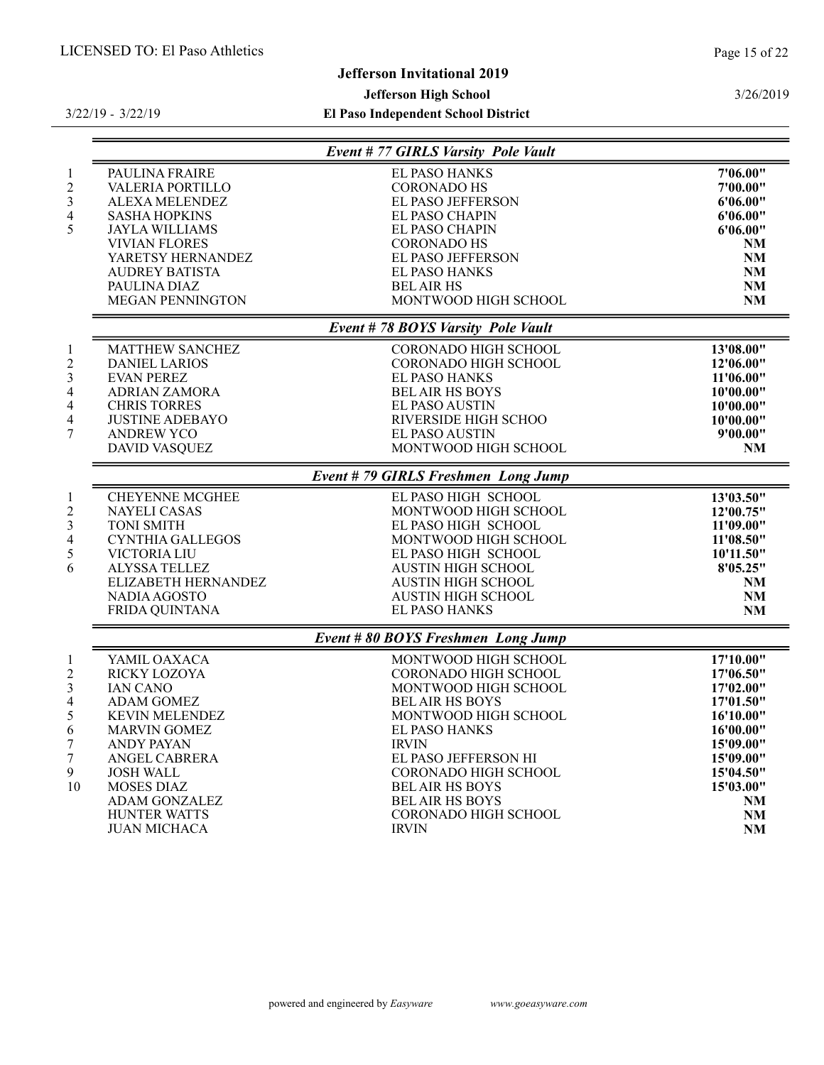3/26/2019

# Jefferson Invitational 2019

# Jefferson High School

|                         | Event # 77 GIRLS Varsity Pole Vault |           |
|-------------------------|-------------------------------------|-----------|
| PAULINA FRAIRE          | EL PASO HANKS                       | 7'06.00"  |
| VALERIA PORTILLO        | <b>CORONADO HS</b>                  | 7'00.00"  |
| ALEXA MELENDEZ          | EL PASO JEFFERSON                   | 6'06.00"  |
| <b>SASHA HOPKINS</b>    | <b>EL PASO CHAPIN</b>               | 6'06.00"  |
| <b>JAYLA WILLIAMS</b>   | <b>EL PASO CHAPIN</b>               | 6'06.00"  |
| <b>VIVIAN FLORES</b>    | <b>CORONADO HS</b>                  | <b>NM</b> |
| YARETSY HERNANDEZ       | EL PASO JEFFERSON                   | <b>NM</b> |
| <b>AUDREY BATISTA</b>   | EL PASO HANKS                       | <b>NM</b> |
| PAULINA DIAZ            | <b>BEL AIR HS</b>                   | <b>NM</b> |
| <b>MEGAN PENNINGTON</b> | MONTWOOD HIGH SCHOOL                | <b>NM</b> |
|                         | Event #78 BOYS Varsity Pole Vault   |           |
| MATTHEW SANCHEZ         | CORONADO HIGH SCHOOL                | 13'08.00" |
| <b>DANIEL LARIOS</b>    | <b>CORONADO HIGH SCHOOL</b>         | 12'06.00" |
| <b>EVAN PEREZ</b>       | <b>EL PASO HANKS</b>                | 11'06.00" |
| ADRIAN ZAMORA           | <b>BEL AIR HS BOYS</b>              | 10'00.00" |
| <b>CHRIS TORRES</b>     | EL PASO AUSTIN                      | 10'00.00" |
| <b>JUSTINE ADEBAYO</b>  | RIVERSIDE HIGH SCHOO                | 10'00.00" |
| <b>ANDREW YCO</b>       | EL PASO AUSTIN                      | 9'00.00"  |
| <b>DAVID VASQUEZ</b>    | MONTWOOD HIGH SCHOOL                | NM        |
|                         | Event # 79 GIRLS Freshmen Long Jump |           |
| <b>CHEYENNE MCGHEE</b>  | EL PASO HIGH SCHOOL                 | 13'03.50" |
| <b>NAYELI CASAS</b>     | MONTWOOD HIGH SCHOOL                | 12'00.75" |
| <b>TONI SMITH</b>       | EL PASO HIGH SCHOOL                 | 11'09.00" |
| <b>CYNTHIA GALLEGOS</b> | MONTWOOD HIGH SCHOOL                | 11'08.50" |
| VICTORIA LIU            | EL PASO HIGH SCHOOL                 | 10'11.50" |
| ALYSSA TELLEZ           | <b>AUSTIN HIGH SCHOOL</b>           | 8'05.25"  |
| ELIZABETH HERNANDEZ     | <b>AUSTIN HIGH SCHOOL</b>           | <b>NM</b> |
| NADIA AGOSTO            | <b>AUSTIN HIGH SCHOOL</b>           | <b>NM</b> |
| FRIDA QUINTANA          | <b>EL PASO HANKS</b>                | <b>NM</b> |
|                         | Event # 80 BOYS Freshmen Long Jump  |           |
| YAMIL OAXACA            | MONTWOOD HIGH SCHOOL                | 17'10.00" |
| RICKY LOZOYA            | <b>CORONADO HIGH SCHOOL</b>         | 17'06.50" |
| <b>IAN CANO</b>         | MONTWOOD HIGH SCHOOL                | 17'02.00" |
| <b>ADAM GOMEZ</b>       | <b>BEL AIR HS BOYS</b>              | 17'01.50" |
| <b>KEVIN MELENDEZ</b>   | MONTWOOD HIGH SCHOOL                | 16'10.00" |
| <b>MARVIN GOMEZ</b>     | <b>EL PASO HANKS</b>                | 16'00.00" |
| <b>ANDY PAYAN</b>       | <b>IRVIN</b>                        | 15'09.00" |
| ANGEL CABRERA           | EL PASO JEFFERSON HI                | 15'09.00" |
| <b>JOSH WALL</b>        | <b>CORONADO HIGH SCHOOL</b>         | 15'04.50" |
| <b>MOSES DIAZ</b>       | <b>BEL AIR HS BOYS</b>              | 15'03.00" |
| <b>ADAM GONZALEZ</b>    | <b>BEL AIR HS BOYS</b>              | <b>NM</b> |
| HUNTER WATTS            | CORONADO HIGH SCHOOL                | <b>NM</b> |
| <b>JUAN MICHACA</b>     | <b>IRVIN</b>                        | <b>NM</b> |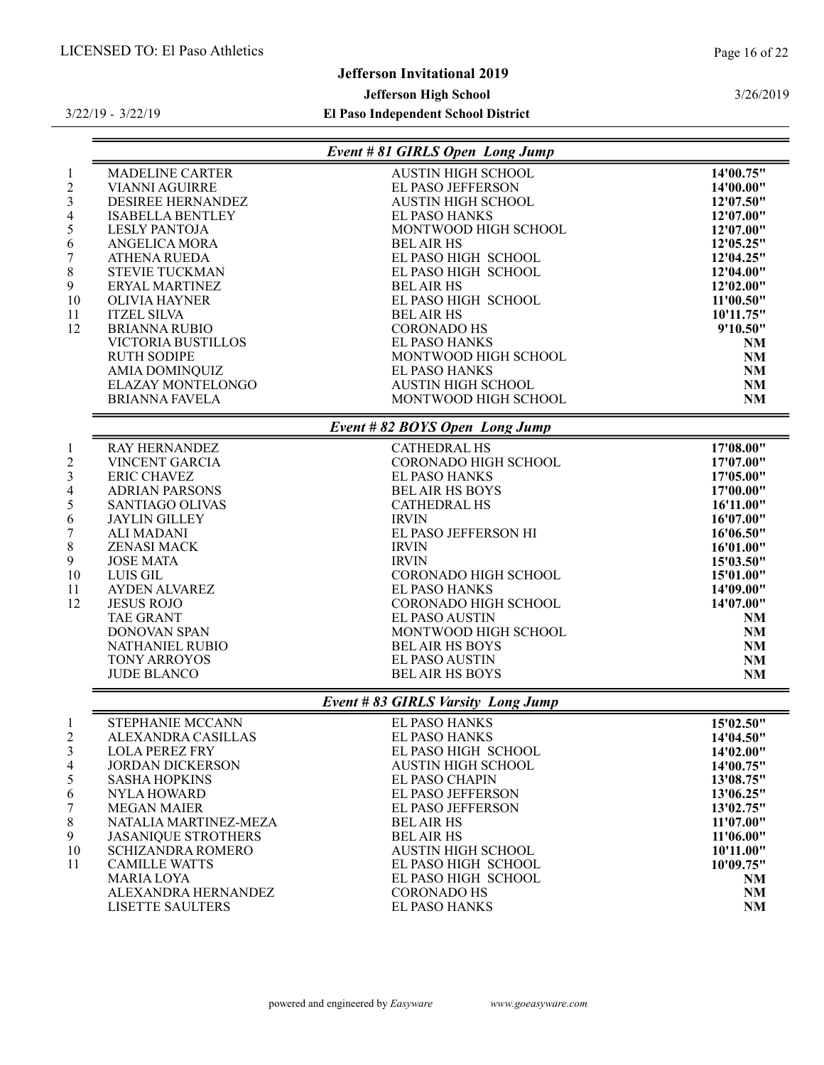LISETTE SAULTERS

3/26/2019

# Jefferson Invitational 2019

#### Jefferson High School

3/22/19 - 3/22/19

El Paso Independent School District

| <b>MADELINE CARTER</b><br><b>VIANNI AGUIRRE</b><br>DESIREE HERNANDEZ<br><b>ISABELLA BENTLEY</b>                                                                                                                                                                                                                                                                                   | Event # 81 GIRLS Open Long Jump<br><b>AUSTIN HIGH SCHOOL</b><br>EL PASO JEFFERSON                                                                                                                                                                                                                                                                                                           | 14'00.75"                                                                                                                                                                                     |
|-----------------------------------------------------------------------------------------------------------------------------------------------------------------------------------------------------------------------------------------------------------------------------------------------------------------------------------------------------------------------------------|---------------------------------------------------------------------------------------------------------------------------------------------------------------------------------------------------------------------------------------------------------------------------------------------------------------------------------------------------------------------------------------------|-----------------------------------------------------------------------------------------------------------------------------------------------------------------------------------------------|
|                                                                                                                                                                                                                                                                                                                                                                                   |                                                                                                                                                                                                                                                                                                                                                                                             |                                                                                                                                                                                               |
| <b>LESLY PANTOJA</b><br>ANGELICA MORA<br><b>ATHENA RUEDA</b><br><b>STEVIE TUCKMAN</b><br>ERYAL MARTINEZ<br><b>OLIVIA HAYNER</b><br><b>ITZEL SILVA</b><br><b>BRIANNA RUBIO</b><br>VICTORIA BUSTILLOS<br><b>RUTH SODIPE</b><br><b>AMIA DOMINQUIZ</b><br><b>ELAZAY MONTELONGO</b><br><b>BRIANNA FAVELA</b>                                                                           | <b>AUSTIN HIGH SCHOOL</b><br><b>EL PASO HANKS</b><br>MONTWOOD HIGH SCHOOL<br><b>BEL AIR HS</b><br>EL PASO HIGH SCHOOL<br>EL PASO HIGH SCHOOL<br><b>BEL AIR HS</b><br>EL PASO HIGH SCHOOL<br><b>BEL AIR HS</b><br><b>CORONADO HS</b><br><b>EL PASO HANKS</b><br>MONTWOOD HIGH SCHOOL<br><b>EL PASO HANKS</b><br><b>AUSTIN HIGH SCHOOL</b><br>MONTWOOD HIGH SCHOOL                            | 14'00.00"<br>12'07.50"<br>12'07.00"<br>12'07.00"<br>12'05.25"<br>12'04.25"<br>12'04.00"<br>12'02.00"<br>11'00.50"<br>10'11.75"<br>9'10.50"<br><b>NM</b><br>NM<br>NM<br>NM<br>NM               |
|                                                                                                                                                                                                                                                                                                                                                                                   |                                                                                                                                                                                                                                                                                                                                                                                             |                                                                                                                                                                                               |
| <b>RAY HERNANDEZ</b><br><b>VINCENT GARCIA</b><br><b>ERIC CHAVEZ</b><br><b>ADRIAN PARSONS</b><br>SANTIAGO OLIVAS<br><b>JAYLIN GILLEY</b><br>ALI MADANI<br><b>ZENASI MACK</b><br><b>JOSE MATA</b><br><b>LUIS GIL</b><br><b>AYDEN ALVAREZ</b><br><b>JESUS ROJO</b><br><b>TAE GRANT</b><br><b>DONOVAN SPAN</b><br><b>NATHANIEL RUBIO</b><br><b>TONY ARROYOS</b><br><b>JUDE BLANCO</b> | <b>CATHEDRAL HS</b><br>CORONADO HIGH SCHOOL<br><b>EL PASO HANKS</b><br><b>BEL AIR HS BOYS</b><br><b>CATHEDRAL HS</b><br><b>IRVIN</b><br>EL PASO JEFFERSON HI<br><b>IRVIN</b><br><b>IRVIN</b><br>CORONADO HIGH SCHOOL<br><b>EL PASO HANKS</b><br>CORONADO HIGH SCHOOL<br><b>EL PASO AUSTIN</b><br>MONTWOOD HIGH SCHOOL<br><b>BEL AIR HS BOYS</b><br>EL PASO AUSTIN<br><b>BEL AIR HS BOYS</b> | 17'08.00"<br>17'07.00"<br>17'05.00"<br>17'00.00"<br>16'11.00"<br>16'07.00"<br>16'06.50"<br>16'01.00"<br>15'03.50"<br>15'01.00"<br>14'09.00"<br>14'07.00"<br><b>NM</b><br>NM<br>NM<br>NM<br>NM |
|                                                                                                                                                                                                                                                                                                                                                                                   |                                                                                                                                                                                                                                                                                                                                                                                             |                                                                                                                                                                                               |
| STEPHANIE MCCANN<br>ALEXANDRA CASILLAS<br><b>LOLA PEREZ FRY</b><br><b>JORDAN DICKERSON</b><br><b>SASHA HOPKINS</b><br><b>NYLA HOWARD</b><br><b>MEGAN MAIER</b><br>NATALIA MARTINEZ-MEZA<br><b>JASANIQUE STROTHERS</b>                                                                                                                                                             | <b>EL PASO HANKS</b><br>EL PASO HANKS<br>EL PASO HIGH SCHOOL<br><b>AUSTIN HIGH SCHOOL</b><br><b>EL PASO CHAPIN</b><br>EL PASO JEFFERSON<br>EL PASO JEFFERSON<br><b>BEL AIR HS</b><br><b>BEL AIR HS</b>                                                                                                                                                                                      | 15'02.50"<br>14'04.50"<br>14'02.00"<br>14'00.75"<br>13'08.75"<br>13'06.25"<br>13'02.75"<br>11'07.00"<br>11'06.00"<br>10'11.00"                                                                |
|                                                                                                                                                                                                                                                                                                                                                                                   | <b>SCHIZANDRA ROMERO</b><br><b>CAMILLE WATTS</b>                                                                                                                                                                                                                                                                                                                                            | Event # 82 BOYS Open Long Jump<br>Event # 83 GIRLS Varsity Long Jump<br><b>AUSTIN HIGH SCHOOL</b><br>EL PASO HIGH SCHOOL                                                                      |

11 CAMILLE WATTS EL PASO HIGH SCHOOL 10'09.75"

ALEXANDRA HERNANDEZ CORONADO HS NM

EL PASO HIGH SCHOOL NM NM CORONADO HS NM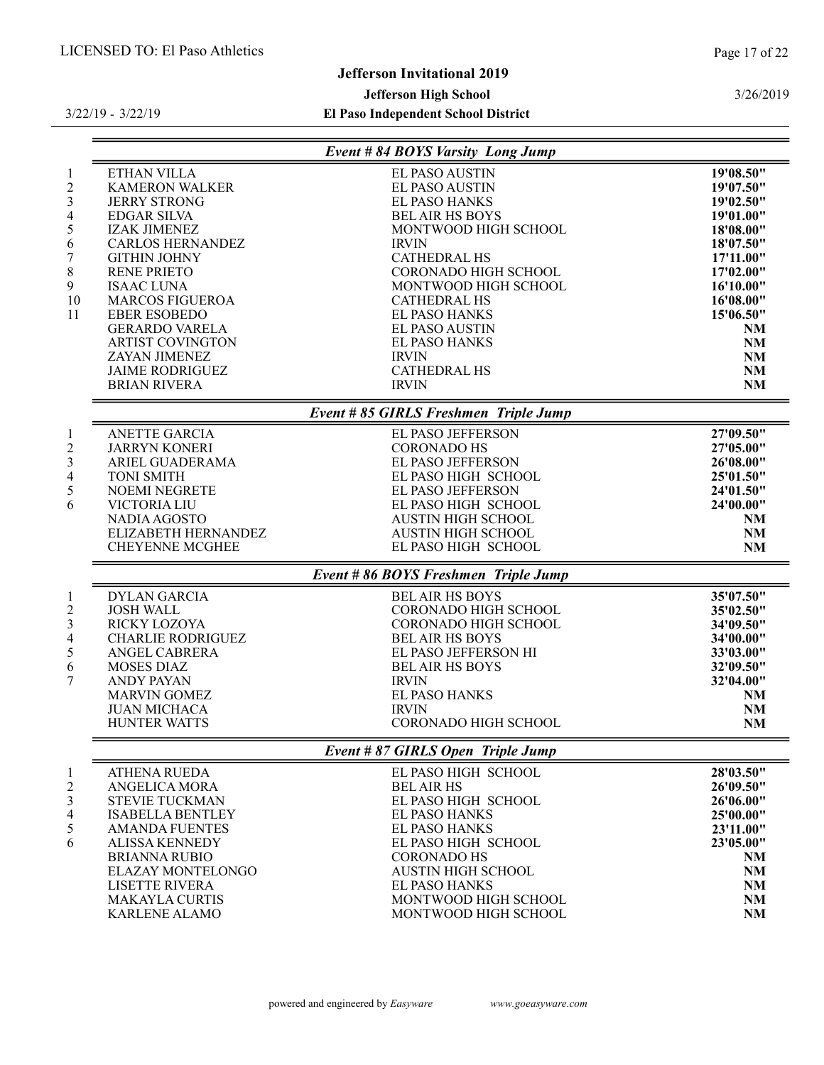# Jefferson Invitational 2019

# Jefferson High School

3/22/19 - 3/22/19

|                                                                                                         |                                                                                                                                                                                                                                                                                                                                                                              | Event # 84 BOYS Varsity Long Jump                                                                                                                                                                                                                                                                                                                                             |                                                                                                                                                                           |
|---------------------------------------------------------------------------------------------------------|------------------------------------------------------------------------------------------------------------------------------------------------------------------------------------------------------------------------------------------------------------------------------------------------------------------------------------------------------------------------------|-------------------------------------------------------------------------------------------------------------------------------------------------------------------------------------------------------------------------------------------------------------------------------------------------------------------------------------------------------------------------------|---------------------------------------------------------------------------------------------------------------------------------------------------------------------------|
| $\mathbf{1}$<br>$\sqrt{2}$<br>$\mathfrak{Z}$<br>$\overline{4}$<br>5<br>6<br>7<br>$8\,$<br>9<br>10<br>11 | ETHAN VILLA<br><b>KAMERON WALKER</b><br><b>JERRY STRONG</b><br><b>EDGAR SILVA</b><br><b>IZAK JIMENEZ</b><br><b>CARLOS HERNANDEZ</b><br><b>GITHIN JOHNY</b><br><b>RENE PRIETO</b><br><b>ISAAC LUNA</b><br><b>MARCOS FIGUEROA</b><br><b>EBER ESOBEDO</b><br><b>GERARDO VARELA</b><br><b>ARTIST COVINGTON</b><br>ZAYAN JIMENEZ<br><b>JAIME RODRIGUEZ</b><br><b>BRIAN RIVERA</b> | <b>EL PASO AUSTIN</b><br><b>EL PASO AUSTIN</b><br><b>EL PASO HANKS</b><br><b>BEL AIR HS BOYS</b><br>MONTWOOD HIGH SCHOOL<br><b>IRVIN</b><br><b>CATHEDRAL HS</b><br><b>CORONADO HIGH SCHOOL</b><br>MONTWOOD HIGH SCHOOL<br><b>CATHEDRAL HS</b><br><b>EL PASO HANKS</b><br><b>EL PASO AUSTIN</b><br><b>EL PASO HANKS</b><br><b>IRVIN</b><br><b>CATHEDRAL HS</b><br><b>IRVIN</b> | 19'08.50"<br>19'07.50"<br>19'02.50"<br>19'01.00"<br>18'08.00"<br>18'07.50"<br>17'11.00"<br>17'02.00"<br>16'10.00"<br>16'08.00"<br>15'06.50"<br>NM<br>NM<br>NM<br>NM<br>NM |
|                                                                                                         |                                                                                                                                                                                                                                                                                                                                                                              | Event # 85 GIRLS Freshmen Triple Jump                                                                                                                                                                                                                                                                                                                                         |                                                                                                                                                                           |
| $\mathbf{1}$<br>$\sqrt{2}$<br>$\mathfrak{Z}$<br>$\overline{4}$<br>$\sqrt{5}$<br>6                       | ANETTE GARCIA<br><b>JARRYN KONERI</b><br>ARIEL GUADERAMA<br><b>TONI SMITH</b><br><b>NOEMI NEGRETE</b><br><b>VICTORIA LIU</b><br>NADIA AGOSTO<br>ELIZABETH HERNANDEZ<br><b>CHEYENNE MCGHEE</b>                                                                                                                                                                                | EL PASO JEFFERSON<br><b>CORONADO HS</b><br>EL PASO JEFFERSON<br>EL PASO HIGH SCHOOL<br>EL PASO JEFFERSON<br>EL PASO HIGH SCHOOL<br><b>AUSTIN HIGH SCHOOL</b><br><b>AUSTIN HIGH SCHOOL</b><br>EL PASO HIGH SCHOOL                                                                                                                                                              | 27'09.50"<br>27'05.00"<br>26'08.00"<br>25'01.50"<br>24'01.50"<br>24'00.00"<br>NM<br>NM<br>NM                                                                              |
|                                                                                                         |                                                                                                                                                                                                                                                                                                                                                                              | Event # 86 BOYS Freshmen Triple Jump                                                                                                                                                                                                                                                                                                                                          |                                                                                                                                                                           |
| $\mathbf{1}$<br>$\overline{c}$<br>$\mathfrak{Z}$<br>$\overline{4}$<br>5<br>6<br>7                       | <b>DYLAN GARCIA</b><br><b>JOSH WALL</b><br>RICKY LOZOYA<br><b>CHARLIE RODRIGUEZ</b><br>ANGEL CABRERA<br><b>MOSES DIAZ</b><br><b>ANDY PAYAN</b><br><b>MARVIN GOMEZ</b><br><b>JUAN MICHACA</b><br><b>HUNTER WATTS</b>                                                                                                                                                          | <b>BEL AIR HS BOYS</b><br>CORONADO HIGH SCHOOL<br>CORONADO HIGH SCHOOL<br><b>BEL AIR HS BOYS</b><br>EL PASO JEFFERSON HI<br><b>BEL AIR HS BOYS</b><br><b>IRVIN</b><br><b>EL PASO HANKS</b><br><b>IRVIN</b><br>CORONADO HIGH SCHOOL                                                                                                                                            | 35'07.50"<br>35'02.50"<br>34'09.50"<br>34'00.00"<br>33'03.00"<br>32'09.50"<br>32'04.00"<br>NM<br>NM<br>NM                                                                 |
|                                                                                                         |                                                                                                                                                                                                                                                                                                                                                                              | Event # 87 GIRLS Open Triple Jump                                                                                                                                                                                                                                                                                                                                             |                                                                                                                                                                           |
| $\mathbf{1}$<br>$\overline{2}$<br>3<br>$\overline{4}$<br>$\sqrt{5}$<br>6                                | <b>ATHENA RUEDA</b><br>ANGELICA MORA<br>STEVIE TUCKMAN<br><b>ISABELLA BENTLEY</b><br><b>AMANDA FUENTES</b><br><b>ALISSA KENNEDY</b><br><b>BRIANNA RUBIO</b><br><b>ELAZAY MONTELONGO</b><br><b>LISETTE RIVERA</b><br><b>MAKAYLA CURTIS</b><br><b>KARLENE ALAMO</b>                                                                                                            | EL PASO HIGH SCHOOL<br><b>BEL AIR HS</b><br>EL PASO HIGH SCHOOL<br><b>EL PASO HANKS</b><br><b>EL PASO HANKS</b><br>EL PASO HIGH SCHOOL<br><b>CORONADO HS</b><br><b>AUSTIN HIGH SCHOOL</b><br><b>EL PASO HANKS</b><br>MONTWOOD HIGH SCHOOL<br>MONTWOOD HIGH SCHOOL                                                                                                             | 28'03.50"<br>26'09.50"<br>26'06.00"<br>25'00.00"<br>23'11.00"<br>23'05.00"<br>NM<br>NM<br>NM<br>NM<br>NM                                                                  |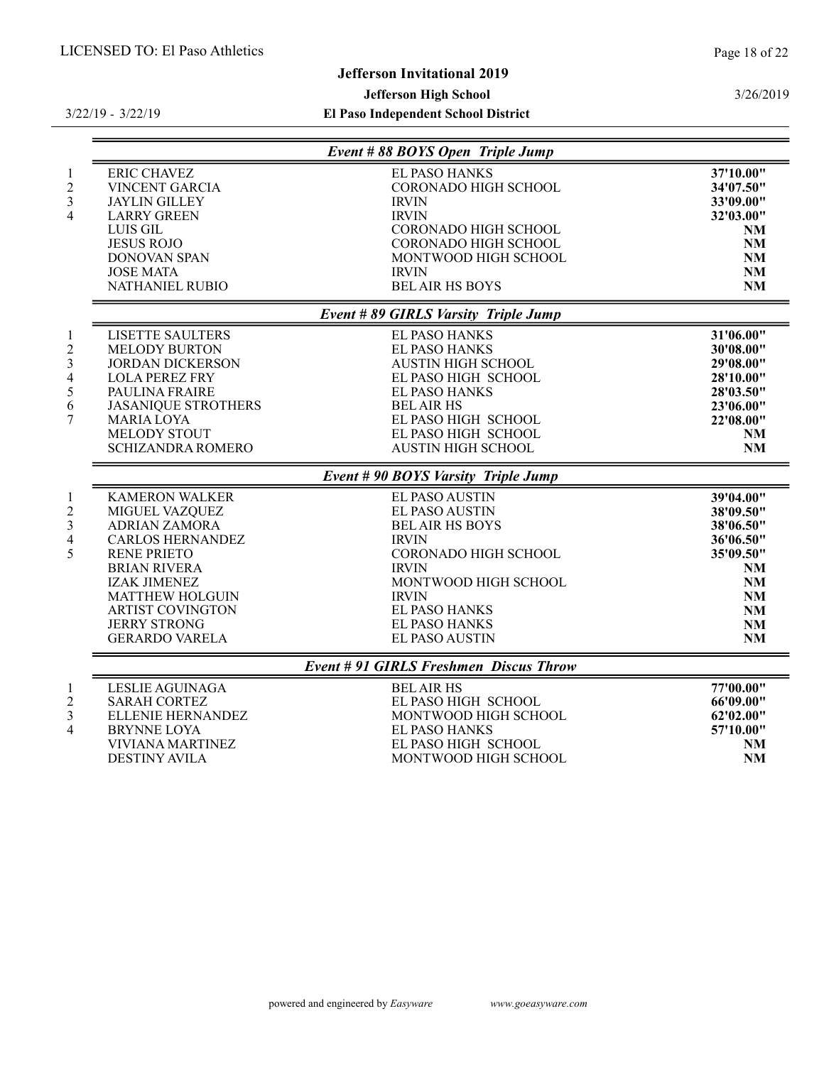GERARDO VARELA

# Jefferson High School

El Paso Independent School District

|                                                                                                                                                                                                                                                                       | Event # 88 BOYS Open Triple Jump                                                                                                                                                                                                |                                                                                                     |
|-----------------------------------------------------------------------------------------------------------------------------------------------------------------------------------------------------------------------------------------------------------------------|---------------------------------------------------------------------------------------------------------------------------------------------------------------------------------------------------------------------------------|-----------------------------------------------------------------------------------------------------|
| <b>ERIC CHAVEZ</b><br><b>VINCENT GARCIA</b><br>3<br><b>JAYLIN GILLEY</b><br><b>LARRY GREEN</b><br>4<br><b>LUIS GIL</b><br><b>JESUS ROJO</b><br><b>DONOVAN SPAN</b><br><b>JOSE MATA</b><br><b>NATHANIEL RUBIO</b>                                                      | <b>EL PASO HANKS</b><br><b>CORONADO HIGH SCHOOL</b><br><b>IRVIN</b><br><b>IRVIN</b><br><b>CORONADO HIGH SCHOOL</b><br>CORONADO HIGH SCHOOL<br>MONTWOOD HIGH SCHOOL<br><b>IRVIN</b><br><b>BEL AIR HS BOYS</b>                    | 37'10.00"<br>34'07.50"<br>33'09.00"<br>32'03.00"<br>NM<br>NM<br>NM<br>NM<br>NM                      |
|                                                                                                                                                                                                                                                                       | Event # 89 GIRLS Varsity Triple Jump                                                                                                                                                                                            |                                                                                                     |
| <b>LISETTE SAULTERS</b><br><b>MELODY BURTON</b><br>3<br><b>JORDAN DICKERSON</b><br><b>LOLA PEREZ FRY</b><br>4<br>5<br>PAULINA FRAIRE<br>6<br><b>JASANIOUE STROTHERS</b><br>7<br><b>MARIA LOYA</b><br><b>MELODY STOUT</b><br><b>SCHIZANDRA ROMERO</b>                  | <b>EL PASO HANKS</b><br><b>EL PASO HANKS</b><br><b>AUSTIN HIGH SCHOOL</b><br>EL PASO HIGH SCHOOL<br><b>EL PASO HANKS</b><br><b>BEL AIR HS</b><br>EL PASO HIGH SCHOOL<br>EL PASO HIGH SCHOOL<br><b>AUSTIN HIGH SCHOOL</b>        | 31'06.00"<br>30'08.00"<br>29'08.00"<br>28'10.00"<br>28'03.50"<br>23'06.00"<br>22'08.00"<br>NM<br>NM |
|                                                                                                                                                                                                                                                                       | Event # 90 BOYS Varsity Triple Jump                                                                                                                                                                                             |                                                                                                     |
| <b>KAMERON WALKER</b><br>1<br><b>MIGUEL VAZQUEZ</b><br>3<br><b>ADRIAN ZAMORA</b><br><b>CARLOS HERNANDEZ</b><br>4<br>5<br><b>RENE PRIETO</b><br><b>BRIAN RIVERA</b><br><b>IZAK JIMENEZ</b><br><b>MATTHEW HOLGUIN</b><br><b>ARTIST COVINGTON</b><br><b>JERRY STRONG</b> | <b>EL PASO AUSTIN</b><br><b>EL PASO AUSTIN</b><br><b>BEL AIR HS BOYS</b><br><b>IRVIN</b><br><b>CORONADO HIGH SCHOOL</b><br><b>IRVIN</b><br>MONTWOOD HIGH SCHOOL<br><b>IRVIN</b><br><b>EL PASO HANKS</b><br><b>EL PASO HANKS</b> | 39'04.00"<br>38'09.50"<br>38'06.50"<br>36'06.50"<br>35'09.50"<br>NM.<br>NM<br>NM<br>NM<br><b>NM</b> |

# Event # 91 GIRLS Freshmen Discus Throw

|               | LESLIE AGUINAGA   | <b>BELAIR HS</b>     | 77'00.00" |
|---------------|-------------------|----------------------|-----------|
|               | SARAH CORTEZ      | EL PASO HIGH SCHOOL  | 66'09.00" |
| $\mathcal{R}$ | ELLENIE HERNANDEZ | MONTWOOD HIGH SCHOOL | 62'02.00" |
|               | BRYNNE LOYA       | EL PASO HANKS        | 57'10.00" |
|               | VIVIANA MARTINEZ  | EL PASO HIGH SCHOOL  | <b>NM</b> |
|               | DESTINY AVILA     | MONTWOOD HIGH SCHOOL | <b>NM</b> |

3/26/2019

JERRY STRONG EL PASO HANKS NM

#### 3/22/19 - 3/22/19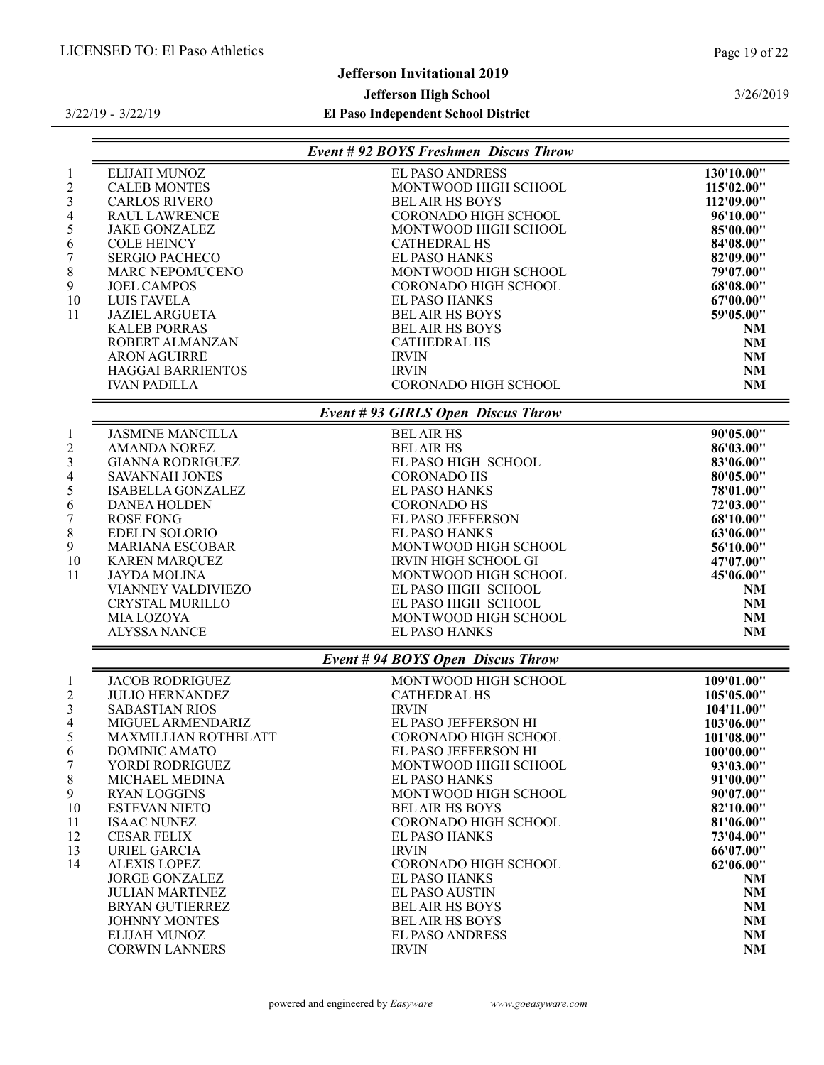# Jefferson Invitational 2019

#### Jefferson High School

3/22/19 - 3/22/19

El Paso Independent School District

|                         |                           | <b>Event # 92 BOYS Freshmen Discus Throw</b> |            |
|-------------------------|---------------------------|----------------------------------------------|------------|
| 1                       | ELIJAH MUNOZ              | <b>EL PASO ANDRESS</b>                       | 130'10.00" |
| $\frac{2}{3}$           | <b>CALEB MONTES</b>       | MONTWOOD HIGH SCHOOL                         | 115'02.00" |
|                         | <b>CARLOS RIVERO</b>      | <b>BEL AIR HS BOYS</b>                       | 112'09.00" |
| 4                       | <b>RAUL LAWRENCE</b>      | <b>CORONADO HIGH SCHOOL</b>                  | 96'10.00"  |
| 5                       | <b>JAKE GONZALEZ</b>      | MONTWOOD HIGH SCHOOL                         | 85'00.00"  |
| 6                       | <b>COLE HEINCY</b>        | <b>CATHEDRAL HS</b>                          | 84'08.00"  |
| $\sqrt{ }$              | <b>SERGIO PACHECO</b>     | <b>EL PASO HANKS</b>                         | 82'09.00"  |
| 8                       | <b>MARC NEPOMUCENO</b>    | MONTWOOD HIGH SCHOOL                         | 79'07.00"  |
| 9                       | <b>JOEL CAMPOS</b>        | <b>CORONADO HIGH SCHOOL</b>                  | 68'08.00"  |
| 10                      | <b>LUIS FAVELA</b>        | <b>EL PASO HANKS</b>                         | 67'00.00"  |
| 11                      | <b>JAZIEL ARGUETA</b>     | <b>BEL AIR HS BOYS</b>                       | 59'05.00"  |
|                         | <b>KALEB PORRAS</b>       | <b>BEL AIR HS BOYS</b>                       | NM         |
|                         | ROBERT ALMANZAN           | <b>CATHEDRAL HS</b>                          | <b>NM</b>  |
|                         | <b>ARON AGUIRRE</b>       | <b>IRVIN</b>                                 | <b>NM</b>  |
|                         | <b>HAGGAI BARRIENTOS</b>  | <b>IRVIN</b>                                 | NM         |
|                         | <b>IVAN PADILLA</b>       | <b>CORONADO HIGH SCHOOL</b>                  | <b>NM</b>  |
|                         |                           | Event # 93 GIRLS Open Discus Throw           |            |
| $\mathbf{1}$            | <b>JASMINE MANCILLA</b>   | <b>BEL AIR HS</b>                            | 90'05.00"  |
| $\overline{\mathbf{c}}$ | <b>AMANDA NOREZ</b>       | <b>BEL AIR HS</b>                            | 86'03.00"  |
| $\overline{3}$          | <b>GIANNA RODRIGUEZ</b>   | EL PASO HIGH SCHOOL                          | 83'06.00"  |
| 4                       | <b>SAVANNAH JONES</b>     | <b>CORONADO HS</b>                           | 80'05.00"  |
| 5                       | <b>ISABELLA GONZALEZ</b>  | <b>EL PASO HANKS</b>                         | 78'01.00"  |
| 6                       | <b>DANEA HOLDEN</b>       | <b>CORONADO HS</b>                           | 72'03.00"  |
| $\tau$                  | <b>ROSE FONG</b>          | EL PASO JEFFERSON                            | 68'10.00"  |
| 8                       | <b>EDELIN SOLORIO</b>     | <b>EL PASO HANKS</b>                         | 63'06.00"  |
| 9                       | <b>MARIANA ESCOBAR</b>    | MONTWOOD HIGH SCHOOL                         | 56'10.00"  |
| 10                      | <b>KAREN MAROUEZ</b>      | <b>IRVIN HIGH SCHOOL GI</b>                  | 47'07.00"  |
| 11                      | <b>JAYDA MOLINA</b>       | MONTWOOD HIGH SCHOOL                         | 45'06.00"  |
|                         | <b>VIANNEY VALDIVIEZO</b> | EL PASO HIGH SCHOOL                          | NM         |

# Event # 94 BOYS Open Discus Throw

CRYSTAL MURILLO EL PASO HIGH SCHOOL NM MIA LOZOYA MONTWOOD HIGH SCHOOL NM EL PASO HANKS

|                | <b>JACOB RODRIGUEZ</b> | MONTWOOD HIGH SCHOOL        | 109'01.00" |
|----------------|------------------------|-----------------------------|------------|
| $\overline{c}$ | <b>JULIO HERNANDEZ</b> | CATHEDRAL HS                | 105'05.00" |
| 3              | <b>SABASTIAN RIOS</b>  | <b>IRVIN</b>                | 104'11.00" |
| 4              | MIGUEL ARMENDARIZ      | EL PASO JEFFERSON HI        | 103'06.00" |
| 5              | MAXMILLIAN ROTHBLATT   | CORONADO HIGH SCHOOL        | 101'08.00" |
| 6              | DOMINIC AMATO          | EL PASO JEFFERSON HI        | 100'00.00" |
| 7              | YORDI RODRIGUEZ-       | MONTWOOD HIGH SCHOOL        | 93'03.00"  |
| 8              | MICHAEL MEDINA         | <b>EL PASO HANKS</b>        | 91'00.00"  |
| 9              | <b>RYAN LOGGINS</b>    | MONTWOOD HIGH SCHOOL        | 90'07.00"  |
| 10             | ESTEVAN NIETO          | <b>BEL AIR HS BOYS</b>      | 82'10.00"  |
| 11             | <b>ISAAC NUNEZ</b>     | CORONADO HIGH SCHOOL        | 81'06.00"  |
| 12             | <b>CESAR FELIX</b>     | EL PASO HANKS               | 73'04.00"  |
| 13             | URIEL GARCIA           | <b>IRVIN</b>                | 66'07.00"  |
| 14             | <b>ALEXIS LOPEZ</b>    | <b>CORONADO HIGH SCHOOL</b> | 62'06.00"  |
|                | <b>JORGE GONZALEZ</b>  | <b>EL PASO HANKS</b>        | NM         |
|                | <b>JULIAN MARTINEZ</b> | <b>EL PASO AUSTIN</b>       | <b>NM</b>  |
|                | <b>BRYAN GUTIERREZ</b> | <b>BEL AIR HS BOYS</b>      | <b>NM</b>  |
|                | <b>JOHNNY MONTES</b>   | <b>BEL AIR HS BOYS</b>      | <b>NM</b>  |
|                | ELIJAH MUNOZ           | <b>EL PASO ANDRESS</b>      | <b>NM</b>  |
|                | <b>CORWIN LANNERS</b>  | <b>IRVIN</b>                | <b>NM</b>  |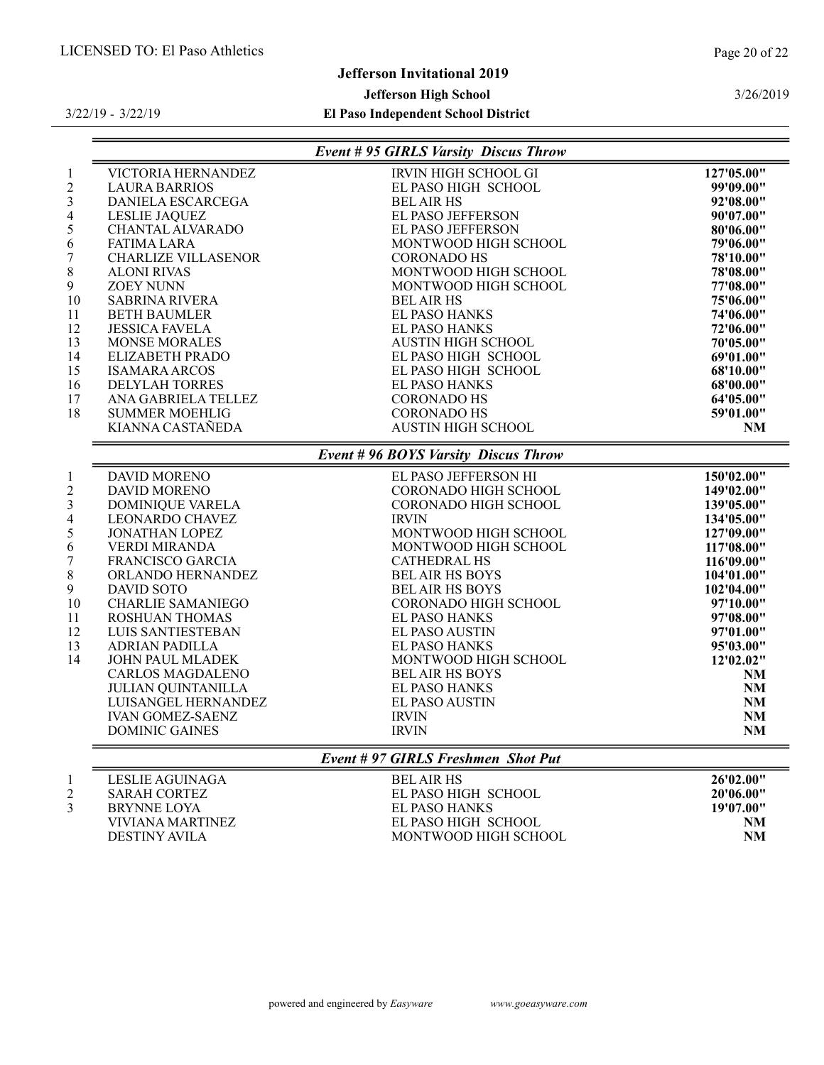# Jefferson Invitational 2019

# Jefferson High School

#### El Paso Independent School District

3/22/19 - 3/22/19

|                  |                            | <b>Event # 95 GIRLS Varsity Discus Throw</b> |                        |
|------------------|----------------------------|----------------------------------------------|------------------------|
| $\mathbf{1}$     | VICTORIA HERNANDEZ         | IRVIN HIGH SCHOOL GI                         | 127'05.00"             |
| $\boldsymbol{2}$ | <b>LAURA BARRIOS</b>       | EL PASO HIGH SCHOOL                          | 99'09.00"              |
| 3                | DANIELA ESCARCEGA          | <b>BEL AIR HS</b>                            | 92'08.00"              |
| 4                | <b>LESLIE JAQUEZ</b>       | EL PASO JEFFERSON                            | 90'07.00"              |
| 5                | CHANTAL ALVARADO           | EL PASO JEFFERSON                            | 80'06.00"              |
| 6                | <b>FATIMA LARA</b>         | MONTWOOD HIGH SCHOOL                         | 79'06.00"              |
| 7                | <b>CHARLIZE VILLASENOR</b> | <b>CORONADO HS</b>                           | 78'10.00"              |
| 8                | <b>ALONI RIVAS</b>         | MONTWOOD HIGH SCHOOL                         | 78'08.00"              |
| 9                | <b>ZOEY NUNN</b>           | MONTWOOD HIGH SCHOOL                         | 77'08.00"              |
| 10               | <b>SABRINA RIVERA</b>      | <b>BEL AIR HS</b>                            | 75'06.00"              |
| 11               | <b>BETH BAUMLER</b>        | <b>EL PASO HANKS</b>                         | 74'06.00"              |
| 12               | <b>JESSICA FAVELA</b>      | <b>EL PASO HANKS</b>                         | 72'06.00"              |
| 13               | <b>MONSE MORALES</b>       | <b>AUSTIN HIGH SCHOOL</b>                    | 70'05.00"              |
| 14               | ELIZABETH PRADO            | EL PASO HIGH SCHOOL                          | 69'01.00"              |
| 15               | <b>ISAMARA ARCOS</b>       | EL PASO HIGH SCHOOL                          | 68'10.00"              |
| 16               | <b>DELYLAH TORRES</b>      | <b>EL PASO HANKS</b>                         | 68'00.00"              |
| 17               | ANA GABRIELA TELLEZ        | <b>CORONADO HS</b>                           | 64'05.00"              |
| 18               | <b>SUMMER MOEHLIG</b>      | <b>CORONADO HS</b>                           | 59'01.00"              |
|                  | KIANNA CASTAÑEDA           | <b>AUSTIN HIGH SCHOOL</b>                    | <b>NM</b>              |
|                  |                            | <b>Event # 96 BOYS Varsity Discus Throw</b>  |                        |
| $\mathbf{1}$     | <b>DAVID MORENO</b>        | EL PASO JEFFERSON HI                         | 150'02.00"             |
| $\overline{2}$   | <b>DAVID MORENO</b>        | CORONADO HIGH SCHOOL                         | 149'02.00"             |
| 3                | <b>DOMINIQUE VARELA</b>    | <b>CORONADO HIGH SCHOOL</b>                  | 139'05.00"             |
| 4                | <b>LEONARDO CHAVEZ</b>     | <b>IRVIN</b>                                 | 134'05.00"             |
| 5                | <b>JONATHAN LOPEZ</b>      | MONTWOOD HIGH SCHOOL                         | 127'09.00"             |
| 6                | VERDI MIRANDA              | MONTWOOD HIGH SCHOOL                         | 117'08.00"             |
| $\boldsymbol{7}$ | FRANCISCO GARCIA           | <b>CATHEDRAL HS</b>                          | 116'09.00"             |
| 8                | ORLANDO HERNANDEZ          | <b>BEL AIR HS BOYS</b>                       | 104'01.00"             |
| 9                | <b>DAVID SOTO</b>          | <b>BEL AIR HS BOYS</b>                       | 102'04.00"             |
| 10               | <b>CHARLIE SAMANIEGO</b>   | CORONADO HIGH SCHOOL                         | 97'10.00"              |
| 11               | <b>ROSHUAN THOMAS</b>      | <b>EL PASO HANKS</b>                         | 97'08.00"              |
| 12               | LUIS SANTIESTEBAN          | <b>EL PASO AUSTIN</b>                        | 97'01.00"              |
| 13               | <b>ADRIAN PADILLA</b>      | <b>EL PASO HANKS</b>                         | 95'03.00"              |
| 14               | JOHN PAUL MLADEK           | MONTWOOD HIGH SCHOOL                         | 12'02.02"              |
|                  | <b>CARLOS MAGDALENO</b>    | <b>BEL AIR HS BOYS</b>                       | NM                     |
|                  | <b>JULIAN QUINTANILLA</b>  | <b>EL PASO HANKS</b>                         | NM                     |
|                  | LUISANGEL HERNANDEZ        | <b>EL PASO AUSTIN</b>                        | $\mathbf{N}\mathbf{M}$ |
|                  | <b>IVAN GOMEZ-SAENZ</b>    | <b>IRVIN</b>                                 | $\mathbf{N}\mathbf{M}$ |
|                  | <b>DOMINIC GAINES</b>      | <b>IRVIN</b>                                 | $\mathbf{N}\mathbf{M}$ |
|                  |                            | Event #97 GIRLS Freshmen Shot Put            |                        |
| $\mathbf{1}$     | <b>LESLIE AGUINAGA</b>     | <b>BEL AIR HS</b><br>EL DA CO HIGH CCHOOL    | 26'02.00"              |
| $\mathcal{L}$    | CADAUCDDTEZ                |                                              | 2010C AAH              |

# DESTINY AVILA

 SARAH CORTEZ EL PASO HIGH SCHOOL 20'06.00" EL PASO HANKS 19'07.00"<br>EL PASO HIGH SCHOOL NM

| $\frac{1}{2}$           |                      | 17 V I OV |
|-------------------------|----------------------|-----------|
| <b>VIVIANA MARTINEZ</b> | EL PASO HIGH SCHOOL  |           |
| <b>DESTINY AVILA</b>    | MONTWOOD HIGH SCHOOL |           |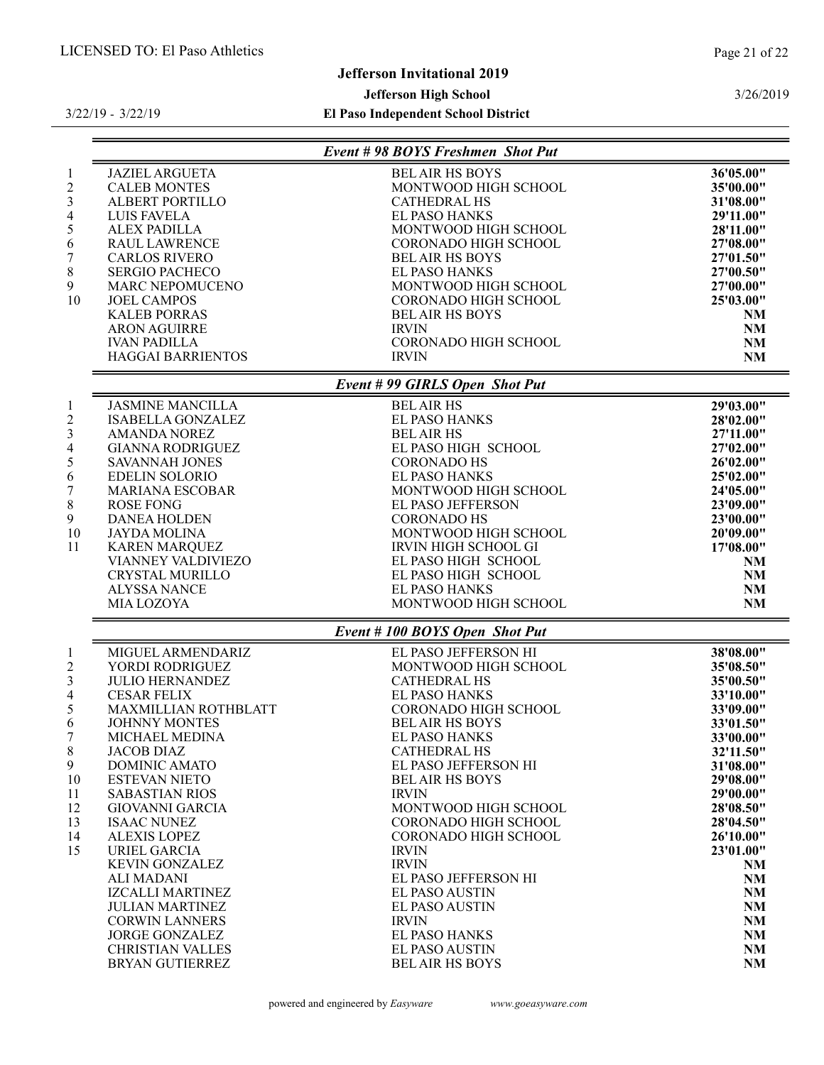3/26/2019

# Jefferson Invitational 2019

# Jefferson High School

|                         |                          | Event #98 BOYS Freshmen Shot Put |           |
|-------------------------|--------------------------|----------------------------------|-----------|
| $\mathbf{1}$            | <b>JAZIEL ARGUETA</b>    | <b>BEL AIR HS BOYS</b>           | 36'05.00" |
| $\overline{c}$          | <b>CALEB MONTES</b>      | MONTWOOD HIGH SCHOOL             | 35'00.00" |
| 3                       | ALBERT PORTILLO          | <b>CATHEDRAL HS</b>              | 31'08.00" |
| $\overline{4}$          | LUIS FAVELA              | <b>EL PASO HANKS</b>             | 29'11.00" |
| 5                       | <b>ALEX PADILLA</b>      | MONTWOOD HIGH SCHOOL             | 28'11.00" |
| 6                       | <b>RAUL LAWRENCE</b>     | <b>CORONADO HIGH SCHOOL</b>      | 27'08.00" |
| 7                       | <b>CARLOS RIVERO</b>     | <b>BEL AIR HS BOYS</b>           | 27'01.50" |
| $8\,$                   | <b>SERGIO PACHECO</b>    | <b>EL PASO HANKS</b>             | 27'00.50" |
| 9                       | MARC NEPOMUCENO          | MONTWOOD HIGH SCHOOL             | 27'00.00" |
| 10                      | <b>JOEL CAMPOS</b>       | CORONADO HIGH SCHOOL             | 25'03.00" |
|                         | <b>KALEB PORRAS</b>      | <b>BELAIR HS BOYS</b>            | NM        |
|                         | <b>ARON AGUIRRE</b>      | <b>IRVIN</b>                     | NM        |
|                         | <b>IVAN PADILLA</b>      | CORONADO HIGH SCHOOL             | NM        |
|                         | <b>HAGGAI BARRIENTOS</b> | <b>IRVIN</b>                     | NM        |
|                         |                          | Event #99 GIRLS Open Shot Put    |           |
|                         |                          |                                  |           |
| $\mathbf{1}$            | <b>JASMINE MANCILLA</b>  | <b>BEL AIR HS</b>                | 29'03.00" |
| $\overline{c}$          | <b>ISABELLA GONZALEZ</b> | <b>EL PASO HANKS</b>             | 28'02.00" |
| $\mathfrak{Z}$          | <b>AMANDA NOREZ</b>      | <b>BEL AIR HS</b>                | 27'11.00" |
| 4                       | <b>GIANNA RODRIGUEZ</b>  | EL PASO HIGH SCHOOL              | 27'02.00" |
| 5                       | SAVANNAH JONES           | <b>CORONADO HS</b>               | 26'02.00" |
| 6                       | <b>EDELIN SOLORIO</b>    | EL PASO HANKS                    | 25'02.00" |
| 7                       | <b>MARIANA ESCOBAR</b>   | MONTWOOD HIGH SCHOOL             | 24'05.00" |
| 8                       | <b>ROSE FONG</b>         | EL PASO JEFFERSON                | 23'09.00" |
| 9                       | <b>DANEA HOLDEN</b>      | <b>CORONADO HS</b>               | 23'00.00" |
| 10                      | <b>JAYDA MOLINA</b>      | MONTWOOD HIGH SCHOOL             | 20'09.00" |
| 11                      | <b>KAREN MARQUEZ</b>     | IRVIN HIGH SCHOOL GI             | 17'08.00" |
|                         | VIANNEY VALDIVIEZO       | EL PASO HIGH SCHOOL              | NM        |
|                         | CRYSTAL MURILLO          | EL PASO HIGH SCHOOL              | NM        |
|                         | <b>ALYSSA NANCE</b>      | <b>EL PASO HANKS</b>             | NM        |
|                         | MIA LOZOYA               | MONTWOOD HIGH SCHOOL             | NM        |
|                         |                          | Event #100 BOYS Open Shot Put    |           |
| $\mathbf{1}$            | MIGUEL ARMENDARIZ        | EL PASO JEFFERSON HI             | 38'08.00" |
|                         | YORDI RODRIGUEZ          | MONTWOOD HIGH SCHOOL             |           |
| $\overline{c}$          |                          |                                  | 35'08.50" |
| $\overline{\mathbf{3}}$ | <b>JULIO HERNANDEZ</b>   | <b>CATHEDRAL HS</b>              | 35'00.50" |
| 4                       | <b>CESAR FELIX</b>       | EL PASO HANKS                    | 33'10.00" |
| 5                       | MAXMILLIAN ROTHBLATT     | CORONADO HIGH SCHOOL             | 33'09.00" |
| 6                       | <b>JOHNNY MONTES</b>     | <b>BEL AIR HS BOYS</b>           | 33'01.50" |
| 7                       | MICHAEL MEDINA           | EL PASO HANKS                    | 33'00.00" |
| 8                       | <b>JACOB DIAZ</b>        | <b>CATHEDRAL HS</b>              | 32'11.50" |
| 9                       | <b>DOMINIC AMATO</b>     | EL PASO JEFFERSON HI             | 31'08.00" |
| 10                      | <b>ESTEVAN NIETO</b>     | <b>BEL AIR HS BOYS</b>           | 29'08.00" |
| 11                      | <b>SABASTIAN RIOS</b>    | <b>IRVIN</b>                     | 29'00.00" |
| 12                      | GIOVANNI GARCIA          | MONTWOOD HIGH SCHOOL             | 28'08.50" |
| 13                      | <b>ISAAC NUNEZ</b>       | <b>CORONADO HIGH SCHOOL</b>      | 28'04.50" |
| 14                      | <b>ALEXIS LOPEZ</b>      | <b>CORONADO HIGH SCHOOL</b>      | 26'10.00" |
| 15                      | URIEL GARCIA             | <b>IRVIN</b>                     | 23'01.00" |
|                         | <b>KEVIN GONZALEZ</b>    | <b>IRVIN</b>                     | NM        |
|                         | <b>ALI MADANI</b>        | EL PASO JEFFERSON HI             | NM        |
|                         | <b>IZCALLI MARTINEZ</b>  | <b>EL PASO AUSTIN</b>            | <b>NM</b> |
|                         | <b>JULIAN MARTINEZ</b>   | <b>EL PASO AUSTIN</b>            | NM        |
|                         | <b>CORWIN LANNERS</b>    | <b>IRVIN</b>                     | NM        |
|                         | <b>JORGE GONZALEZ</b>    | <b>EL PASO HANKS</b>             | NM        |
|                         | <b>CHRISTIAN VALLES</b>  | <b>EL PASO AUSTIN</b>            |           |
|                         | <b>BRYAN GUTIERREZ</b>   | <b>BEL AIR HS BOYS</b>           | NM<br>NM  |
|                         |                          |                                  |           |